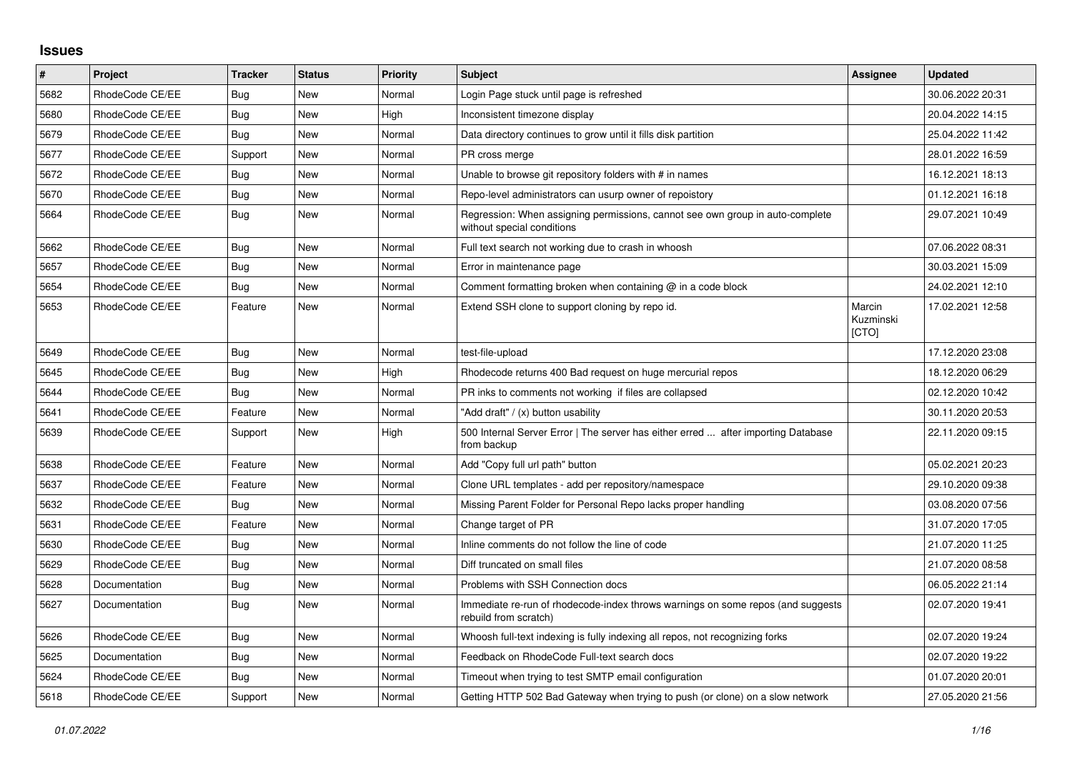## **Issues**

| #    | Project         | <b>Tracker</b> | <b>Status</b> | <b>Priority</b> | <b>Subject</b>                                                                                              | <b>Assignee</b>              | <b>Updated</b>   |
|------|-----------------|----------------|---------------|-----------------|-------------------------------------------------------------------------------------------------------------|------------------------------|------------------|
| 5682 | RhodeCode CE/EE | Bug            | <b>New</b>    | Normal          | Login Page stuck until page is refreshed                                                                    |                              | 30.06.2022 20:31 |
| 5680 | RhodeCode CE/EE | <b>Bug</b>     | <b>New</b>    | High            | Inconsistent timezone display                                                                               |                              | 20.04.2022 14:15 |
| 5679 | RhodeCode CE/EE | Bug            | <b>New</b>    | Normal          | Data directory continues to grow until it fills disk partition                                              |                              | 25.04.2022 11:42 |
| 5677 | RhodeCode CE/EE | Support        | <b>New</b>    | Normal          | PR cross merge                                                                                              |                              | 28.01.2022 16:59 |
| 5672 | RhodeCode CE/EE | <b>Bug</b>     | <b>New</b>    | Normal          | Unable to browse git repository folders with # in names                                                     |                              | 16.12.2021 18:13 |
| 5670 | RhodeCode CE/EE | Bug            | <b>New</b>    | Normal          | Repo-level administrators can usurp owner of repoistory                                                     |                              | 01.12.2021 16:18 |
| 5664 | RhodeCode CE/EE | <b>Bug</b>     | <b>New</b>    | Normal          | Regression: When assigning permissions, cannot see own group in auto-complete<br>without special conditions |                              | 29.07.2021 10:49 |
| 5662 | RhodeCode CE/EE | Bug            | <b>New</b>    | Normal          | Full text search not working due to crash in whoosh                                                         |                              | 07.06.2022 08:31 |
| 5657 | RhodeCode CE/EE | Bug            | <b>New</b>    | Normal          | Error in maintenance page                                                                                   |                              | 30.03.2021 15:09 |
| 5654 | RhodeCode CE/EE | Bug            | New           | Normal          | Comment formatting broken when containing $@$ in a code block                                               |                              | 24.02.2021 12:10 |
| 5653 | RhodeCode CE/EE | Feature        | <b>New</b>    | Normal          | Extend SSH clone to support cloning by repo id.                                                             | Marcin<br>Kuzminski<br>[CTO] | 17.02.2021 12:58 |
| 5649 | RhodeCode CE/EE | Bug            | <b>New</b>    | Normal          | test-file-upload                                                                                            |                              | 17.12.2020 23:08 |
| 5645 | RhodeCode CE/EE | Bug            | <b>New</b>    | High            | Rhodecode returns 400 Bad request on huge mercurial repos                                                   |                              | 18.12.2020 06:29 |
| 5644 | RhodeCode CE/EE | <b>Bug</b>     | <b>New</b>    | Normal          | PR inks to comments not working if files are collapsed                                                      |                              | 02.12.2020 10:42 |
| 5641 | RhodeCode CE/EE | Feature        | <b>New</b>    | Normal          | "Add draft" / (x) button usability                                                                          |                              | 30.11.2020 20:53 |
| 5639 | RhodeCode CE/EE | Support        | New           | High            | 500 Internal Server Error   The server has either erred  after importing Database<br>from backup            |                              | 22.11.2020 09:15 |
| 5638 | RhodeCode CE/EE | Feature        | <b>New</b>    | Normal          | Add "Copy full url path" button                                                                             |                              | 05.02.2021 20:23 |
| 5637 | RhodeCode CE/EE | Feature        | <b>New</b>    | Normal          | Clone URL templates - add per repository/namespace                                                          |                              | 29.10.2020 09:38 |
| 5632 | RhodeCode CE/EE | Bua            | New           | Normal          | Missing Parent Folder for Personal Repo lacks proper handling                                               |                              | 03.08.2020 07:56 |
| 5631 | RhodeCode CE/EE | Feature        | <b>New</b>    | Normal          | Change target of PR                                                                                         |                              | 31.07.2020 17:05 |
| 5630 | RhodeCode CE/EE | Bug            | <b>New</b>    | Normal          | Inline comments do not follow the line of code                                                              |                              | 21.07.2020 11:25 |
| 5629 | RhodeCode CE/EE | <b>Bug</b>     | <b>New</b>    | Normal          | Diff truncated on small files                                                                               |                              | 21.07.2020 08:58 |
| 5628 | Documentation   | Bug            | <b>New</b>    | Normal          | Problems with SSH Connection docs                                                                           |                              | 06.05.2022 21:14 |
| 5627 | Documentation   | Bug            | <b>New</b>    | Normal          | Immediate re-run of rhodecode-index throws warnings on some repos (and suggests<br>rebuild from scratch)    |                              | 02.07.2020 19:41 |
| 5626 | RhodeCode CE/EE | <b>Bug</b>     | <b>New</b>    | Normal          | Whoosh full-text indexing is fully indexing all repos, not recognizing forks                                |                              | 02.07.2020 19:24 |
| 5625 | Documentation   | Bug            | <b>New</b>    | Normal          | Feedback on RhodeCode Full-text search docs                                                                 |                              | 02.07.2020 19:22 |
| 5624 | RhodeCode CE/EE | Bug            | New           | Normal          | Timeout when trying to test SMTP email configuration                                                        |                              | 01.07.2020 20:01 |
| 5618 | RhodeCode CE/EE | Support        | <b>New</b>    | Normal          | Getting HTTP 502 Bad Gateway when trying to push (or clone) on a slow network                               |                              | 27.05.2020 21:56 |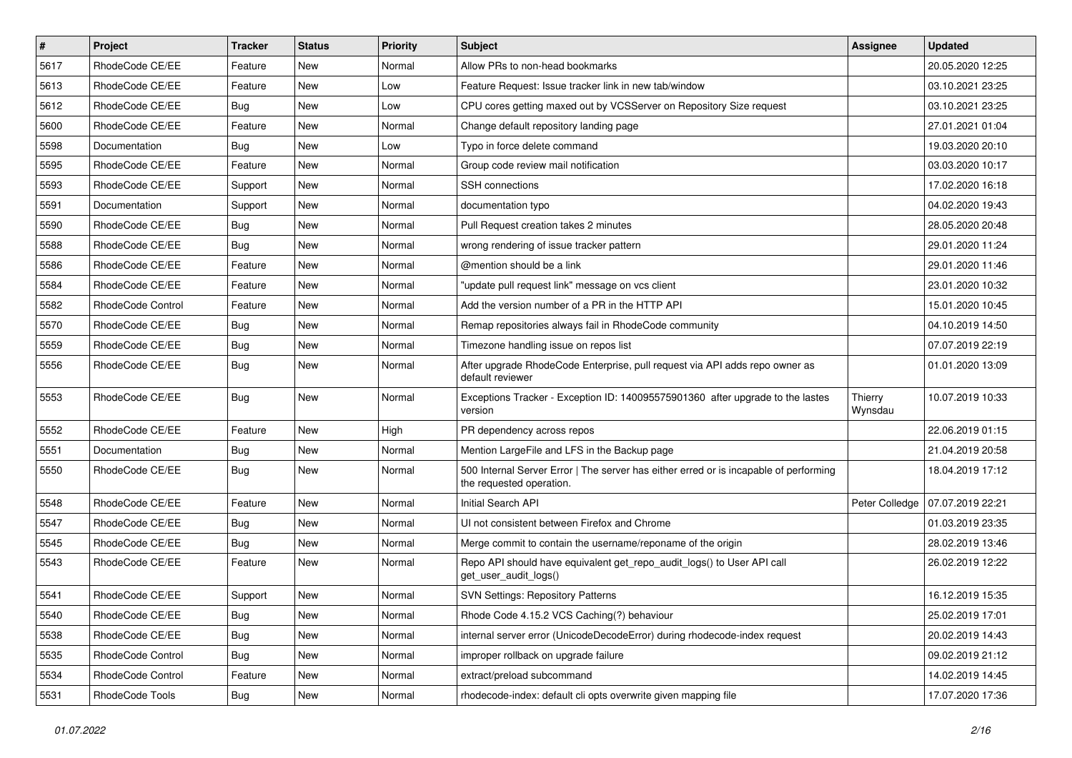| $\vert$ # | Project           | <b>Tracker</b> | <b>Status</b> | Priority | Subject                                                                                                           | <b>Assignee</b>    | <b>Updated</b>   |
|-----------|-------------------|----------------|---------------|----------|-------------------------------------------------------------------------------------------------------------------|--------------------|------------------|
| 5617      | RhodeCode CE/EE   | Feature        | New           | Normal   | Allow PRs to non-head bookmarks                                                                                   |                    | 20.05.2020 12:25 |
| 5613      | RhodeCode CE/EE   | Feature        | <b>New</b>    | Low      | Feature Request: Issue tracker link in new tab/window                                                             |                    | 03.10.2021 23:25 |
| 5612      | RhodeCode CE/EE   | Bug            | New           | Low      | CPU cores getting maxed out by VCSServer on Repository Size request                                               |                    | 03.10.2021 23:25 |
| 5600      | RhodeCode CE/EE   | Feature        | New           | Normal   | Change default repository landing page                                                                            |                    | 27.01.2021 01:04 |
| 5598      | Documentation     | Bug            | New           | Low      | Typo in force delete command                                                                                      |                    | 19.03.2020 20:10 |
| 5595      | RhodeCode CE/EE   | Feature        | New           | Normal   | Group code review mail notification                                                                               |                    | 03.03.2020 10:17 |
| 5593      | RhodeCode CE/EE   | Support        | New           | Normal   | <b>SSH</b> connections                                                                                            |                    | 17.02.2020 16:18 |
| 5591      | Documentation     | Support        | New           | Normal   | documentation typo                                                                                                |                    | 04.02.2020 19:43 |
| 5590      | RhodeCode CE/EE   | Bug            | New           | Normal   | Pull Request creation takes 2 minutes                                                                             |                    | 28.05.2020 20:48 |
| 5588      | RhodeCode CE/EE   | Bug            | New           | Normal   | wrong rendering of issue tracker pattern                                                                          |                    | 29.01.2020 11:24 |
| 5586      | RhodeCode CE/EE   | Feature        | New           | Normal   | @mention should be a link                                                                                         |                    | 29.01.2020 11:46 |
| 5584      | RhodeCode CE/EE   | Feature        | New           | Normal   | "update pull request link" message on vcs client                                                                  |                    | 23.01.2020 10:32 |
| 5582      | RhodeCode Control | Feature        | <b>New</b>    | Normal   | Add the version number of a PR in the HTTP API                                                                    |                    | 15.01.2020 10:45 |
| 5570      | RhodeCode CE/EE   | <b>Bug</b>     | New           | Normal   | Remap repositories always fail in RhodeCode community                                                             |                    | 04.10.2019 14:50 |
| 5559      | RhodeCode CE/EE   | Bug            | New           | Normal   | Timezone handling issue on repos list                                                                             |                    | 07.07.2019 22:19 |
| 5556      | RhodeCode CE/EE   | Bug            | New           | Normal   | After upgrade RhodeCode Enterprise, pull request via API adds repo owner as<br>default reviewer                   |                    | 01.01.2020 13:09 |
| 5553      | RhodeCode CE/EE   | Bug            | New           | Normal   | Exceptions Tracker - Exception ID: 140095575901360 after upgrade to the lastes<br>version                         | Thierry<br>Wynsdau | 10.07.2019 10:33 |
| 5552      | RhodeCode CE/EE   | Feature        | New           | High     | PR dependency across repos                                                                                        |                    | 22.06.2019 01:15 |
| 5551      | Documentation     | Bug            | New           | Normal   | Mention LargeFile and LFS in the Backup page                                                                      |                    | 21.04.2019 20:58 |
| 5550      | RhodeCode CE/EE   | Bug            | New           | Normal   | 500 Internal Server Error   The server has either erred or is incapable of performing<br>the requested operation. |                    | 18.04.2019 17:12 |
| 5548      | RhodeCode CE/EE   | Feature        | New           | Normal   | Initial Search API                                                                                                | Peter Colledge     | 07.07.2019 22:21 |
| 5547      | RhodeCode CE/EE   | Bug            | New           | Normal   | UI not consistent between Firefox and Chrome                                                                      |                    | 01.03.2019 23:35 |
| 5545      | RhodeCode CE/EE   | Bug            | New           | Normal   | Merge commit to contain the username/reponame of the origin                                                       |                    | 28.02.2019 13:46 |
| 5543      | RhodeCode CE/EE   | Feature        | New           | Normal   | Repo API should have equivalent get repo audit logs() to User API call<br>get_user_audit_logs()                   |                    | 26.02.2019 12:22 |
| 5541      | RhodeCode CE/EE   | Support        | New           | Normal   | SVN Settings: Repository Patterns                                                                                 |                    | 16.12.2019 15:35 |
| 5540      | RhodeCode CE/EE   | Bug            | New           | Normal   | Rhode Code 4.15.2 VCS Caching(?) behaviour                                                                        |                    | 25.02.2019 17:01 |
| 5538      | RhodeCode CE/EE   | Bug            | New           | Normal   | internal server error (UnicodeDecodeError) during rhodecode-index request                                         |                    | 20.02.2019 14:43 |
| 5535      | RhodeCode Control | Bug            | New           | Normal   | improper rollback on upgrade failure                                                                              |                    | 09.02.2019 21:12 |
| 5534      | RhodeCode Control | Feature        | New           | Normal   | extract/preload subcommand                                                                                        |                    | 14.02.2019 14:45 |
| 5531      | RhodeCode Tools   | <b>Bug</b>     | New           | Normal   | rhodecode-index: default cli opts overwrite given mapping file                                                    |                    | 17.07.2020 17:36 |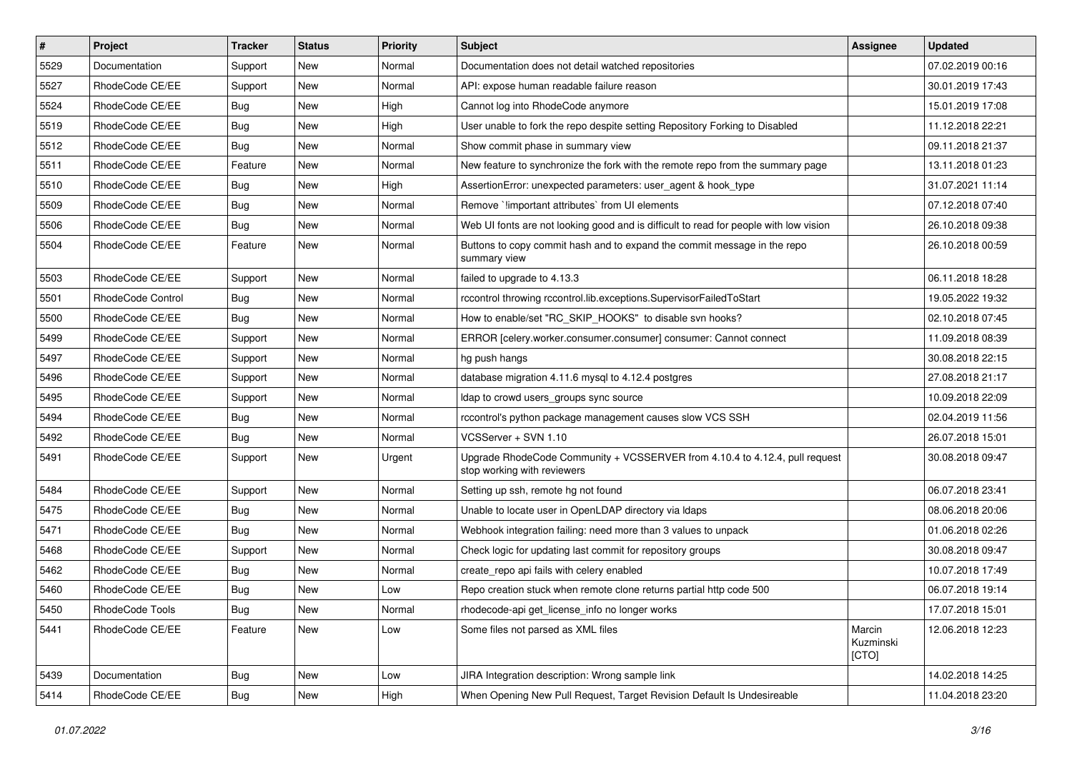| #    | <b>Project</b>    | <b>Tracker</b> | <b>Status</b> | Priority | <b>Subject</b>                                                                                             | Assignee                     | <b>Updated</b>   |
|------|-------------------|----------------|---------------|----------|------------------------------------------------------------------------------------------------------------|------------------------------|------------------|
| 5529 | Documentation     | Support        | New           | Normal   | Documentation does not detail watched repositories                                                         |                              | 07.02.2019 00:16 |
| 5527 | RhodeCode CE/EE   | Support        | <b>New</b>    | Normal   | API: expose human readable failure reason                                                                  |                              | 30.01.2019 17:43 |
| 5524 | RhodeCode CE/EE   | Bug            | New           | High     | Cannot log into RhodeCode anymore                                                                          |                              | 15.01.2019 17:08 |
| 5519 | RhodeCode CE/EE   | Bug            | New           | High     | User unable to fork the repo despite setting Repository Forking to Disabled                                |                              | 11.12.2018 22:21 |
| 5512 | RhodeCode CE/EE   | Bug            | <b>New</b>    | Normal   | Show commit phase in summary view                                                                          |                              | 09.11.2018 21:37 |
| 5511 | RhodeCode CE/EE   | Feature        | New           | Normal   | New feature to synchronize the fork with the remote repo from the summary page                             |                              | 13.11.2018 01:23 |
| 5510 | RhodeCode CE/EE   | Bug            | <b>New</b>    | High     | AssertionError: unexpected parameters: user agent & hook type                                              |                              | 31.07.2021 11:14 |
| 5509 | RhodeCode CE/EE   | Bug            | New           | Normal   | Remove `limportant attributes` from UI elements                                                            |                              | 07.12.2018 07:40 |
| 5506 | RhodeCode CE/EE   | Bug            | New           | Normal   | Web UI fonts are not looking good and is difficult to read for people with low vision                      |                              | 26.10.2018 09:38 |
| 5504 | RhodeCode CE/EE   | Feature        | <b>New</b>    | Normal   | Buttons to copy commit hash and to expand the commit message in the repo<br>summary view                   |                              | 26.10.2018 00:59 |
| 5503 | RhodeCode CE/EE   | Support        | New           | Normal   | failed to upgrade to 4.13.3                                                                                |                              | 06.11.2018 18:28 |
| 5501 | RhodeCode Control | Bug            | New           | Normal   | rccontrol throwing rccontrol.lib.exceptions.SupervisorFailedToStart                                        |                              | 19.05.2022 19:32 |
| 5500 | RhodeCode CE/EE   | Bug            | New           | Normal   | How to enable/set "RC_SKIP_HOOKS" to disable svn hooks?                                                    |                              | 02.10.2018 07:45 |
| 5499 | RhodeCode CE/EE   | Support        | <b>New</b>    | Normal   | ERROR [celery.worker.consumer.consumer] consumer: Cannot connect                                           |                              | 11.09.2018 08:39 |
| 5497 | RhodeCode CE/EE   | Support        | New           | Normal   | hg push hangs                                                                                              |                              | 30.08.2018 22:15 |
| 5496 | RhodeCode CE/EE   | Support        | New           | Normal   | database migration 4.11.6 mysql to 4.12.4 postgres                                                         |                              | 27.08.2018 21:17 |
| 5495 | RhodeCode CE/EE   | Support        | <b>New</b>    | Normal   | Idap to crowd users_groups sync source                                                                     |                              | 10.09.2018 22:09 |
| 5494 | RhodeCode CE/EE   | Bug            | New           | Normal   | rccontrol's python package management causes slow VCS SSH                                                  |                              | 02.04.2019 11:56 |
| 5492 | RhodeCode CE/EE   | Bug            | New           | Normal   | VCSServer + SVN 1.10                                                                                       |                              | 26.07.2018 15:01 |
| 5491 | RhodeCode CE/EE   | Support        | New           | Urgent   | Upgrade RhodeCode Community + VCSSERVER from 4.10.4 to 4.12.4, pull request<br>stop working with reviewers |                              | 30.08.2018 09:47 |
| 5484 | RhodeCode CE/EE   | Support        | <b>New</b>    | Normal   | Setting up ssh, remote hg not found                                                                        |                              | 06.07.2018 23:41 |
| 5475 | RhodeCode CE/EE   | Bug            | New           | Normal   | Unable to locate user in OpenLDAP directory via Idaps                                                      |                              | 08.06.2018 20:06 |
| 5471 | RhodeCode CE/EE   | Bug            | New           | Normal   | Webhook integration failing: need more than 3 values to unpack                                             |                              | 01.06.2018 02:26 |
| 5468 | RhodeCode CE/EE   | Support        | <b>New</b>    | Normal   | Check logic for updating last commit for repository groups                                                 |                              | 30.08.2018 09:47 |
| 5462 | RhodeCode CE/EE   | Bug            | New           | Normal   | create repo api fails with celery enabled                                                                  |                              | 10.07.2018 17:49 |
| 5460 | RhodeCode CE/EE   | Bug            | <b>New</b>    | Low      | Repo creation stuck when remote clone returns partial http code 500                                        |                              | 06.07.2018 19:14 |
| 5450 | RhodeCode Tools   | Bug            | New           | Normal   | rhodecode-api get_license_info no longer works                                                             |                              | 17.07.2018 15:01 |
| 5441 | RhodeCode CE/EE   | Feature        | New           | Low      | Some files not parsed as XML files                                                                         | Marcin<br>Kuzminski<br>[CTO] | 12.06.2018 12:23 |
| 5439 | Documentation     | <b>Bug</b>     | New           | Low      | JIRA Integration description: Wrong sample link                                                            |                              | 14.02.2018 14:25 |
| 5414 | RhodeCode CE/EE   | Bug            | New           | High     | When Opening New Pull Request, Target Revision Default Is Undesireable                                     |                              | 11.04.2018 23:20 |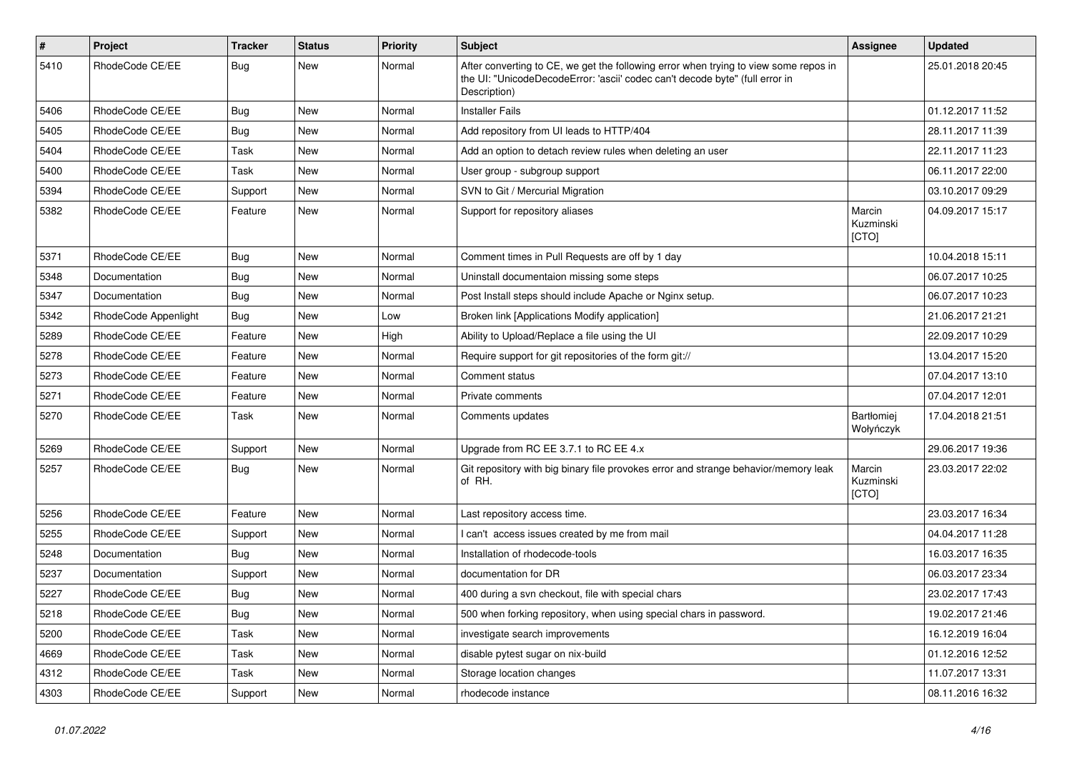| $\pmb{\#}$ | <b>Project</b>       | <b>Tracker</b> | <b>Status</b> | <b>Priority</b> | <b>Subject</b>                                                                                                                                                                       | Assignee                     | <b>Updated</b>   |
|------------|----------------------|----------------|---------------|-----------------|--------------------------------------------------------------------------------------------------------------------------------------------------------------------------------------|------------------------------|------------------|
| 5410       | RhodeCode CE/EE      | Bug            | <b>New</b>    | Normal          | After converting to CE, we get the following error when trying to view some repos in<br>the UI: "UnicodeDecodeError: 'ascii' codec can't decode byte" (full error in<br>Description) |                              | 25.01.2018 20:45 |
| 5406       | RhodeCode CE/EE      | Bug            | <b>New</b>    | Normal          | <b>Installer Fails</b>                                                                                                                                                               |                              | 01.12.2017 11:52 |
| 5405       | RhodeCode CE/EE      | Bug            | <b>New</b>    | Normal          | Add repository from UI leads to HTTP/404                                                                                                                                             |                              | 28.11.2017 11:39 |
| 5404       | RhodeCode CE/EE      | Task           | New           | Normal          | Add an option to detach review rules when deleting an user                                                                                                                           |                              | 22.11.2017 11:23 |
| 5400       | RhodeCode CE/EE      | Task           | <b>New</b>    | Normal          | User group - subgroup support                                                                                                                                                        |                              | 06.11.2017 22:00 |
| 5394       | RhodeCode CE/EE      | Support        | New           | Normal          | SVN to Git / Mercurial Migration                                                                                                                                                     |                              | 03.10.2017 09:29 |
| 5382       | RhodeCode CE/EE      | Feature        | <b>New</b>    | Normal          | Support for repository aliases                                                                                                                                                       | Marcin<br>Kuzminski<br>[CTO] | 04.09.2017 15:17 |
| 5371       | RhodeCode CE/EE      | <b>Bug</b>     | <b>New</b>    | Normal          | Comment times in Pull Requests are off by 1 day                                                                                                                                      |                              | 10.04.2018 15:11 |
| 5348       | Documentation        | Bug            | <b>New</b>    | Normal          | Uninstall documentaion missing some steps                                                                                                                                            |                              | 06.07.2017 10:25 |
| 5347       | Documentation        | <b>Bug</b>     | <b>New</b>    | Normal          | Post Install steps should include Apache or Nginx setup.                                                                                                                             |                              | 06.07.2017 10:23 |
| 5342       | RhodeCode Appenlight | Bug            | <b>New</b>    | Low             | Broken link [Applications Modify application]                                                                                                                                        |                              | 21.06.2017 21:21 |
| 5289       | RhodeCode CE/EE      | Feature        | <b>New</b>    | High            | Ability to Upload/Replace a file using the UI                                                                                                                                        |                              | 22.09.2017 10:29 |
| 5278       | RhodeCode CE/EE      | Feature        | <b>New</b>    | Normal          | Require support for git repositories of the form git://                                                                                                                              |                              | 13.04.2017 15:20 |
| 5273       | RhodeCode CE/EE      | Feature        | <b>New</b>    | Normal          | Comment status                                                                                                                                                                       |                              | 07.04.2017 13:10 |
| 5271       | RhodeCode CE/EE      | Feature        | New           | Normal          | Private comments                                                                                                                                                                     |                              | 07.04.2017 12:01 |
| 5270       | RhodeCode CE/EE      | Task           | <b>New</b>    | Normal          | Comments updates                                                                                                                                                                     | Bartłomiej<br>Wołyńczyk      | 17.04.2018 21:51 |
| 5269       | RhodeCode CE/EE      | Support        | <b>New</b>    | Normal          | Upgrade from RC EE 3.7.1 to RC EE 4.x                                                                                                                                                |                              | 29.06.2017 19:36 |
| 5257       | RhodeCode CE/EE      | <b>Bug</b>     | <b>New</b>    | Normal          | Git repository with big binary file provokes error and strange behavior/memory leak<br>of RH.                                                                                        | Marcin<br>Kuzminski<br>[CTO] | 23.03.2017 22:02 |
| 5256       | RhodeCode CE/EE      | Feature        | <b>New</b>    | Normal          | Last repository access time.                                                                                                                                                         |                              | 23.03.2017 16:34 |
| 5255       | RhodeCode CE/EE      | Support        | New           | Normal          | I can't access issues created by me from mail                                                                                                                                        |                              | 04.04.2017 11:28 |
| 5248       | Documentation        | Bug            | <b>New</b>    | Normal          | Installation of rhodecode-tools                                                                                                                                                      |                              | 16.03.2017 16:35 |
| 5237       | Documentation        | Support        | <b>New</b>    | Normal          | documentation for DR                                                                                                                                                                 |                              | 06.03.2017 23:34 |
| 5227       | RhodeCode CE/EE      | <b>Bug</b>     | <b>New</b>    | Normal          | 400 during a svn checkout, file with special chars                                                                                                                                   |                              | 23.02.2017 17:43 |
| 5218       | RhodeCode CE/EE      | <b>Bug</b>     | New           | Normal          | 500 when forking repository, when using special chars in password.                                                                                                                   |                              | 19.02.2017 21:46 |
| 5200       | RhodeCode CE/EE      | Task           | New           | Normal          | investigate search improvements                                                                                                                                                      |                              | 16.12.2019 16:04 |
| 4669       | RhodeCode CE/EE      | Task           | New           | Normal          | disable pytest sugar on nix-build                                                                                                                                                    |                              | 01.12.2016 12:52 |
| 4312       | RhodeCode CE/EE      | Task           | New           | Normal          | Storage location changes                                                                                                                                                             |                              | 11.07.2017 13:31 |
| 4303       | RhodeCode CE/EE      | Support        | New           | Normal          | rhodecode instance                                                                                                                                                                   |                              | 08.11.2016 16:32 |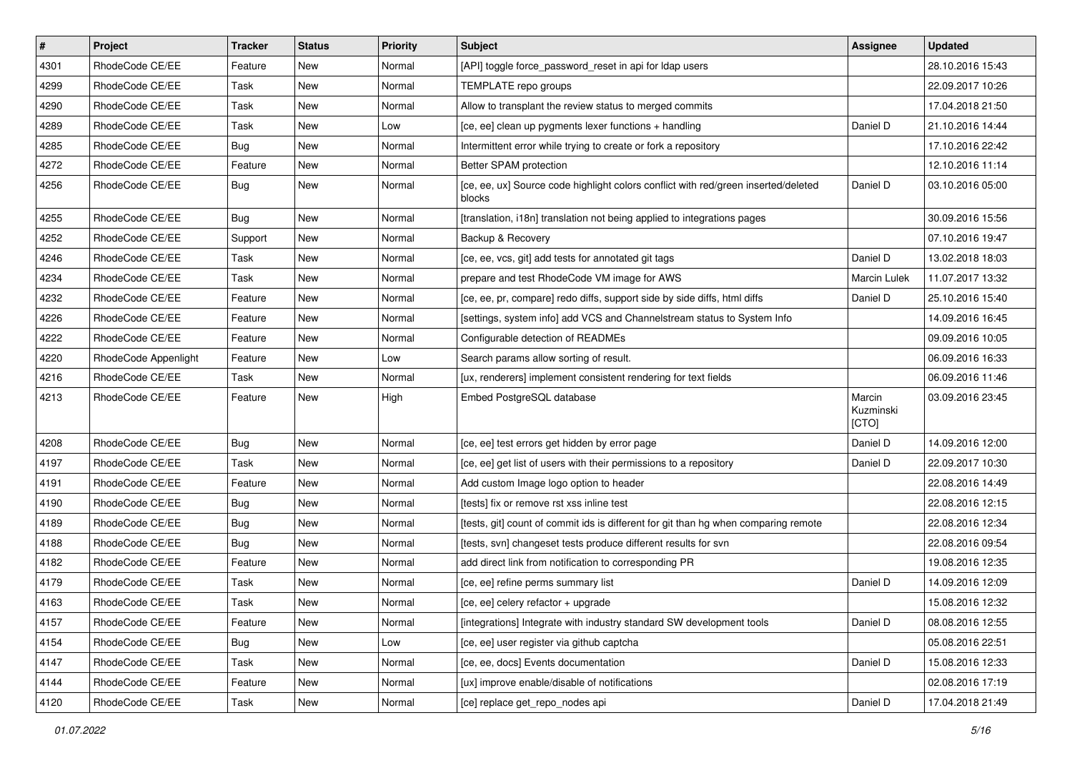| $\vert$ # | Project              | <b>Tracker</b> | <b>Status</b> | <b>Priority</b> | <b>Subject</b>                                                                               | Assignee                     | <b>Updated</b>   |
|-----------|----------------------|----------------|---------------|-----------------|----------------------------------------------------------------------------------------------|------------------------------|------------------|
| 4301      | RhodeCode CE/EE      | Feature        | New           | Normal          | [API] toggle force_password_reset in api for Idap users                                      |                              | 28.10.2016 15:43 |
| 4299      | RhodeCode CE/EE      | Task           | New           | Normal          | TEMPLATE repo groups                                                                         |                              | 22.09.2017 10:26 |
| 4290      | RhodeCode CE/EE      | Task           | New           | Normal          | Allow to transplant the review status to merged commits                                      |                              | 17.04.2018 21:50 |
| 4289      | RhodeCode CE/EE      | Task           | New           | Low             | [ce, ee] clean up pygments lexer functions + handling                                        | Daniel D                     | 21.10.2016 14:44 |
| 4285      | RhodeCode CE/EE      | Bug            | <b>New</b>    | Normal          | Intermittent error while trying to create or fork a repository                               |                              | 17.10.2016 22:42 |
| 4272      | RhodeCode CE/EE      | Feature        | New           | Normal          | Better SPAM protection                                                                       |                              | 12.10.2016 11:14 |
| 4256      | RhodeCode CE/EE      | Bug            | New           | Normal          | [ce, ee, ux] Source code highlight colors conflict with red/green inserted/deleted<br>blocks | Daniel D                     | 03.10.2016 05:00 |
| 4255      | RhodeCode CE/EE      | <b>Bug</b>     | <b>New</b>    | Normal          | [translation, i18n] translation not being applied to integrations pages                      |                              | 30.09.2016 15:56 |
| 4252      | RhodeCode CE/EE      | Support        | <b>New</b>    | Normal          | Backup & Recovery                                                                            |                              | 07.10.2016 19:47 |
| 4246      | RhodeCode CE/EE      | Task           | New           | Normal          | [ce, ee, vcs, git] add tests for annotated git tags                                          | Daniel D                     | 13.02.2018 18:03 |
| 4234      | RhodeCode CE/EE      | Task           | New           | Normal          | prepare and test RhodeCode VM image for AWS                                                  | Marcin Lulek                 | 11.07.2017 13:32 |
| 4232      | RhodeCode CE/EE      | Feature        | <b>New</b>    | Normal          | [ce, ee, pr, compare] redo diffs, support side by side diffs, html diffs                     | Daniel D                     | 25.10.2016 15:40 |
| 4226      | RhodeCode CE/EE      | Feature        | New           | Normal          | [settings, system info] add VCS and Channelstream status to System Info                      |                              | 14.09.2016 16:45 |
| 4222      | RhodeCode CE/EE      | Feature        | New           | Normal          | Configurable detection of READMEs                                                            |                              | 09.09.2016 10:05 |
| 4220      | RhodeCode Appenlight | Feature        | New           | Low             | Search params allow sorting of result.                                                       |                              | 06.09.2016 16:33 |
| 4216      | RhodeCode CE/EE      | Task           | New           | Normal          | [ux, renderers] implement consistent rendering for text fields                               |                              | 06.09.2016 11:46 |
| 4213      | RhodeCode CE/EE      | Feature        | <b>New</b>    | High            | Embed PostgreSQL database                                                                    | Marcin<br>Kuzminski<br>[CTO] | 03.09.2016 23:45 |
| 4208      | RhodeCode CE/EE      | Bug            | New           | Normal          | [ce, ee] test errors get hidden by error page                                                | Daniel D                     | 14.09.2016 12:00 |
| 4197      | RhodeCode CE/EE      | Task           | New           | Normal          | [ce, ee] get list of users with their permissions to a repository                            | Daniel D                     | 22.09.2017 10:30 |
| 4191      | RhodeCode CE/EE      | Feature        | New           | Normal          | Add custom Image logo option to header                                                       |                              | 22.08.2016 14:49 |
| 4190      | RhodeCode CE/EE      | <b>Bug</b>     | New           | Normal          | [tests] fix or remove rst xss inline test                                                    |                              | 22.08.2016 12:15 |
| 4189      | RhodeCode CE/EE      | <b>Bug</b>     | New           | Normal          | [tests, git] count of commit ids is different for git than hg when comparing remote          |                              | 22.08.2016 12:34 |
| 4188      | RhodeCode CE/EE      | <b>Bug</b>     | <b>New</b>    | Normal          | [tests, svn] changeset tests produce different results for svn                               |                              | 22.08.2016 09:54 |
| 4182      | RhodeCode CE/EE      | Feature        | New           | Normal          | add direct link from notification to corresponding PR                                        |                              | 19.08.2016 12:35 |
| 4179      | RhodeCode CE/EE      | Task           | New           | Normal          | [ce, ee] refine perms summary list                                                           | Daniel D                     | 14.09.2016 12:09 |
| 4163      | RhodeCode CE/EE      | Task           | New           | Normal          | [ce, ee] celery refactor + upgrade                                                           |                              | 15.08.2016 12:32 |
| 4157      | RhodeCode CE/EE      | Feature        | New           | Normal          | [integrations] Integrate with industry standard SW development tools                         | Daniel D                     | 08.08.2016 12:55 |
| 4154      | RhodeCode CE/EE      | <b>Bug</b>     | <b>New</b>    | Low             | [ce, ee] user register via github captcha                                                    |                              | 05.08.2016 22:51 |
| 4147      | RhodeCode CE/EE      | Task           | New           | Normal          | [ce, ee, docs] Events documentation                                                          | Daniel D                     | 15.08.2016 12:33 |
| 4144      | RhodeCode CE/EE      | Feature        | New           | Normal          | [ux] improve enable/disable of notifications                                                 |                              | 02.08.2016 17:19 |
| 4120      | RhodeCode CE/EE      | Task           | New           | Normal          | [ce] replace get_repo_nodes api                                                              | Daniel D                     | 17.04.2018 21:49 |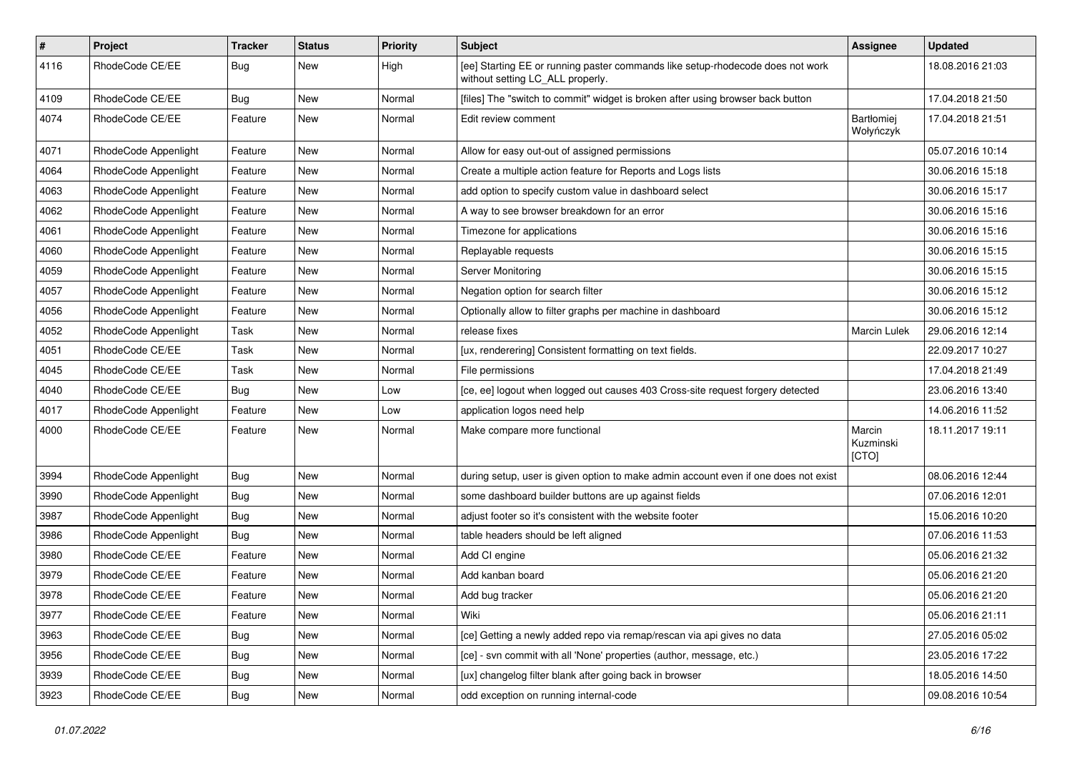| $\pmb{\#}$ | Project              | <b>Tracker</b> | <b>Status</b> | Priority | <b>Subject</b>                                                                                                     | Assignee                     | <b>Updated</b>   |
|------------|----------------------|----------------|---------------|----------|--------------------------------------------------------------------------------------------------------------------|------------------------------|------------------|
| 4116       | RhodeCode CE/EE      | Bug            | New           | High     | [ee] Starting EE or running paster commands like setup-rhodecode does not work<br>without setting LC_ALL properly. |                              | 18.08.2016 21:03 |
| 4109       | RhodeCode CE/EE      | Bug            | New           | Normal   | [files] The "switch to commit" widget is broken after using browser back button                                    |                              | 17.04.2018 21:50 |
| 4074       | RhodeCode CE/EE      | Feature        | New           | Normal   | Edit review comment                                                                                                | Bartłomiej<br>Wołyńczyk      | 17.04.2018 21:51 |
| 4071       | RhodeCode Appenlight | Feature        | New           | Normal   | Allow for easy out-out of assigned permissions                                                                     |                              | 05.07.2016 10:14 |
| 4064       | RhodeCode Appenlight | Feature        | New           | Normal   | Create a multiple action feature for Reports and Logs lists                                                        |                              | 30.06.2016 15:18 |
| 4063       | RhodeCode Appenlight | Feature        | <b>New</b>    | Normal   | add option to specify custom value in dashboard select                                                             |                              | 30.06.2016 15:17 |
| 4062       | RhodeCode Appenlight | Feature        | New           | Normal   | A way to see browser breakdown for an error                                                                        |                              | 30.06.2016 15:16 |
| 4061       | RhodeCode Appenlight | Feature        | <b>New</b>    | Normal   | Timezone for applications                                                                                          |                              | 30.06.2016 15:16 |
| 4060       | RhodeCode Appenlight | Feature        | New           | Normal   | Replayable requests                                                                                                |                              | 30.06.2016 15:15 |
| 4059       | RhodeCode Appenlight | Feature        | New           | Normal   | Server Monitoring                                                                                                  |                              | 30.06.2016 15:15 |
| 4057       | RhodeCode Appenlight | Feature        | <b>New</b>    | Normal   | Negation option for search filter                                                                                  |                              | 30.06.2016 15:12 |
| 4056       | RhodeCode Appenlight | Feature        | New           | Normal   | Optionally allow to filter graphs per machine in dashboard                                                         |                              | 30.06.2016 15:12 |
| 4052       | RhodeCode Appenlight | Task           | New           | Normal   | release fixes                                                                                                      | Marcin Lulek                 | 29.06.2016 12:14 |
| 4051       | RhodeCode CE/EE      | Task           | New           | Normal   | [ux, renderering] Consistent formatting on text fields.                                                            |                              | 22.09.2017 10:27 |
| 4045       | RhodeCode CE/EE      | Task           | New           | Normal   | File permissions                                                                                                   |                              | 17.04.2018 21:49 |
| 4040       | RhodeCode CE/EE      | Bug            | <b>New</b>    | Low      | [ce, ee] logout when logged out causes 403 Cross-site request forgery detected                                     |                              | 23.06.2016 13:40 |
| 4017       | RhodeCode Appenlight | Feature        | New           | Low      | application logos need help                                                                                        |                              | 14.06.2016 11:52 |
| 4000       | RhodeCode CE/EE      | Feature        | New           | Normal   | Make compare more functional                                                                                       | Marcin<br>Kuzminski<br>[CTO] | 18.11.2017 19:11 |
| 3994       | RhodeCode Appenlight | Bug            | <b>New</b>    | Normal   | during setup, user is given option to make admin account even if one does not exist                                |                              | 08.06.2016 12:44 |
| 3990       | RhodeCode Appenlight | Bug            | New           | Normal   | some dashboard builder buttons are up against fields                                                               |                              | 07.06.2016 12:01 |
| 3987       | RhodeCode Appenlight | Bug            | <b>New</b>    | Normal   | adjust footer so it's consistent with the website footer                                                           |                              | 15.06.2016 10:20 |
| 3986       | RhodeCode Appenlight | Bug            | <b>New</b>    | Normal   | table headers should be left aligned                                                                               |                              | 07.06.2016 11:53 |
| 3980       | RhodeCode CE/EE      | Feature        | <b>New</b>    | Normal   | Add CI engine                                                                                                      |                              | 05.06.2016 21:32 |
| 3979       | RhodeCode CE/EE      | Feature        | New           | Normal   | Add kanban board                                                                                                   |                              | 05.06.2016 21:20 |
| 3978       | RhodeCode CE/EE      | Feature        | New           | Normal   | Add bug tracker                                                                                                    |                              | 05.06.2016 21:20 |
| 3977       | RhodeCode CE/EE      | Feature        | New           | Normal   | Wiki                                                                                                               |                              | 05.06.2016 21:11 |
| 3963       | RhodeCode CE/EE      | Bug            | New           | Normal   | [ce] Getting a newly added repo via remap/rescan via api gives no data                                             |                              | 27.05.2016 05:02 |
| 3956       | RhodeCode CE/EE      | <b>Bug</b>     | New           | Normal   | [ce] - svn commit with all 'None' properties (author, message, etc.)                                               |                              | 23.05.2016 17:22 |
| 3939       | RhodeCode CE/EE      | <b>Bug</b>     | New           | Normal   | [ux] changelog filter blank after going back in browser                                                            |                              | 18.05.2016 14:50 |
| 3923       | RhodeCode CE/EE      | Bug            | New           | Normal   | odd exception on running internal-code                                                                             |                              | 09.08.2016 10:54 |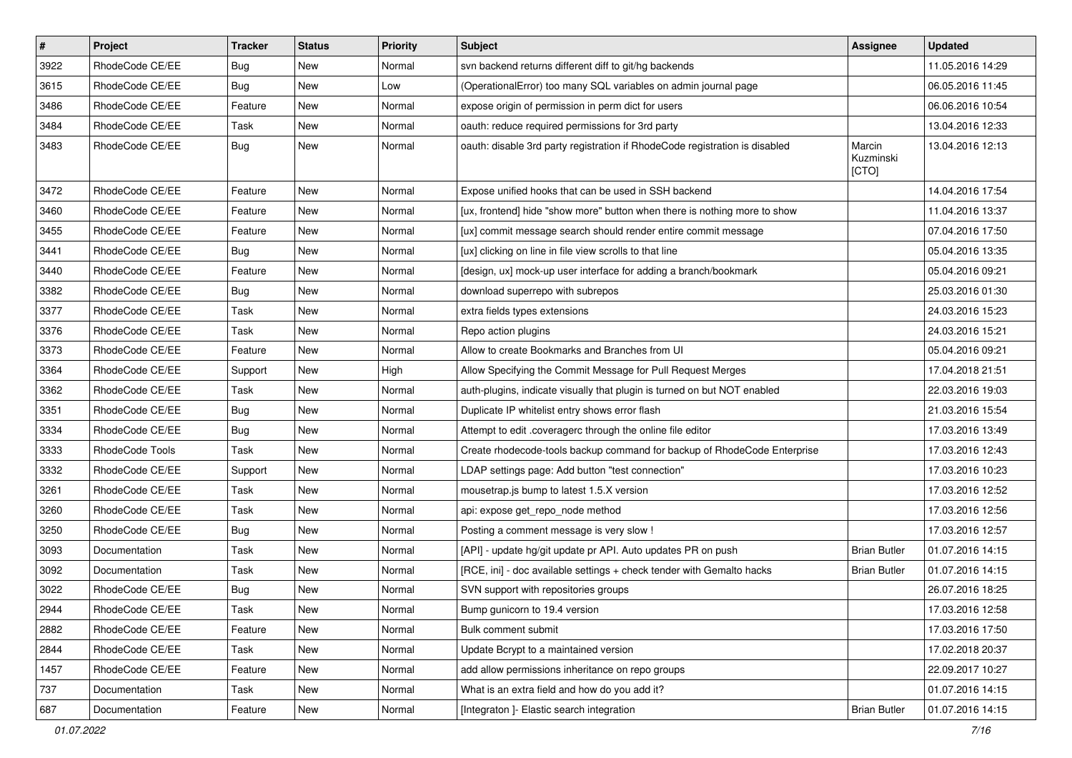| $\vert$ # | Project         | <b>Tracker</b> | <b>Status</b> | Priority | <b>Subject</b>                                                              | Assignee                     | <b>Updated</b>   |
|-----------|-----------------|----------------|---------------|----------|-----------------------------------------------------------------------------|------------------------------|------------------|
| 3922      | RhodeCode CE/EE | Bug            | New           | Normal   | svn backend returns different diff to git/hg backends                       |                              | 11.05.2016 14:29 |
| 3615      | RhodeCode CE/EE | Bug            | <b>New</b>    | Low      | (OperationalError) too many SQL variables on admin journal page             |                              | 06.05.2016 11:45 |
| 3486      | RhodeCode CE/EE | Feature        | New           | Normal   | expose origin of permission in perm dict for users                          |                              | 06.06.2016 10:54 |
| 3484      | RhodeCode CE/EE | Task           | New           | Normal   | oauth: reduce required permissions for 3rd party                            |                              | 13.04.2016 12:33 |
| 3483      | RhodeCode CE/EE | Bug            | <b>New</b>    | Normal   | oauth: disable 3rd party registration if RhodeCode registration is disabled | Marcin<br>Kuzminski<br>[CTO] | 13.04.2016 12:13 |
| 3472      | RhodeCode CE/EE | Feature        | <b>New</b>    | Normal   | Expose unified hooks that can be used in SSH backend                        |                              | 14.04.2016 17:54 |
| 3460      | RhodeCode CE/EE | Feature        | New           | Normal   | [ux, frontend] hide "show more" button when there is nothing more to show   |                              | 11.04.2016 13:37 |
| 3455      | RhodeCode CE/EE | Feature        | <b>New</b>    | Normal   | [ux] commit message search should render entire commit message              |                              | 07.04.2016 17:50 |
| 3441      | RhodeCode CE/EE | <b>Bug</b>     | New           | Normal   | [ux] clicking on line in file view scrolls to that line                     |                              | 05.04.2016 13:35 |
| 3440      | RhodeCode CE/EE | Feature        | New           | Normal   | [design, ux] mock-up user interface for adding a branch/bookmark            |                              | 05.04.2016 09:21 |
| 3382      | RhodeCode CE/EE | Bug            | <b>New</b>    | Normal   | download superrepo with subrepos                                            |                              | 25.03.2016 01:30 |
| 3377      | RhodeCode CE/EE | Task           | New           | Normal   | extra fields types extensions                                               |                              | 24.03.2016 15:23 |
| 3376      | RhodeCode CE/EE | Task           | <b>New</b>    | Normal   | Repo action plugins                                                         |                              | 24.03.2016 15:21 |
| 3373      | RhodeCode CE/EE | Feature        | New           | Normal   | Allow to create Bookmarks and Branches from UI                              |                              | 05.04.2016 09:21 |
| 3364      | RhodeCode CE/EE | Support        | New           | High     | Allow Specifying the Commit Message for Pull Request Merges                 |                              | 17.04.2018 21:51 |
| 3362      | RhodeCode CE/EE | Task           | <b>New</b>    | Normal   | auth-plugins, indicate visually that plugin is turned on but NOT enabled    |                              | 22.03.2016 19:03 |
| 3351      | RhodeCode CE/EE | Bug            | New           | Normal   | Duplicate IP whitelist entry shows error flash                              |                              | 21.03.2016 15:54 |
| 3334      | RhodeCode CE/EE | Bug            | New           | Normal   | Attempt to edit .coveragerc through the online file editor                  |                              | 17.03.2016 13:49 |
| 3333      | RhodeCode Tools | Task           | New           | Normal   | Create rhodecode-tools backup command for backup of RhodeCode Enterprise    |                              | 17.03.2016 12:43 |
| 3332      | RhodeCode CE/EE | Support        | <b>New</b>    | Normal   | LDAP settings page: Add button "test connection"                            |                              | 17.03.2016 10:23 |
| 3261      | RhodeCode CE/EE | Task           | <b>New</b>    | Normal   | mousetrap.js bump to latest 1.5.X version                                   |                              | 17.03.2016 12:52 |
| 3260      | RhodeCode CE/EE | Task           | New           | Normal   | api: expose get_repo_node method                                            |                              | 17.03.2016 12:56 |
| 3250      | RhodeCode CE/EE | Bug            | New           | Normal   | Posting a comment message is very slow !                                    |                              | 17.03.2016 12:57 |
| 3093      | Documentation   | Task           | <b>New</b>    | Normal   | [API] - update hg/git update pr API. Auto updates PR on push                | <b>Brian Butler</b>          | 01.07.2016 14:15 |
| 3092      | Documentation   | Task           | New           | Normal   | [RCE, ini] - doc available settings + check tender with Gemalto hacks       | <b>Brian Butler</b>          | 01.07.2016 14:15 |
| 3022      | RhodeCode CE/EE | Bug            | <b>New</b>    | Normal   | SVN support with repositories groups                                        |                              | 26.07.2016 18:25 |
| 2944      | RhodeCode CE/EE | Task           | New           | Normal   | Bump gunicorn to 19.4 version                                               |                              | 17.03.2016 12:58 |
| 2882      | RhodeCode CE/EE | Feature        | New           | Normal   | Bulk comment submit                                                         |                              | 17.03.2016 17:50 |
| 2844      | RhodeCode CE/EE | Task           | New           | Normal   | Update Bcrypt to a maintained version                                       |                              | 17.02.2018 20:37 |
| 1457      | RhodeCode CE/EE | Feature        | New           | Normal   | add allow permissions inheritance on repo groups                            |                              | 22.09.2017 10:27 |
| 737       | Documentation   | Task           | New           | Normal   | What is an extra field and how do you add it?                               |                              | 01.07.2016 14:15 |
| 687       | Documentation   | Feature        | New           | Normal   | [Integraton ]- Elastic search integration                                   | <b>Brian Butler</b>          | 01.07.2016 14:15 |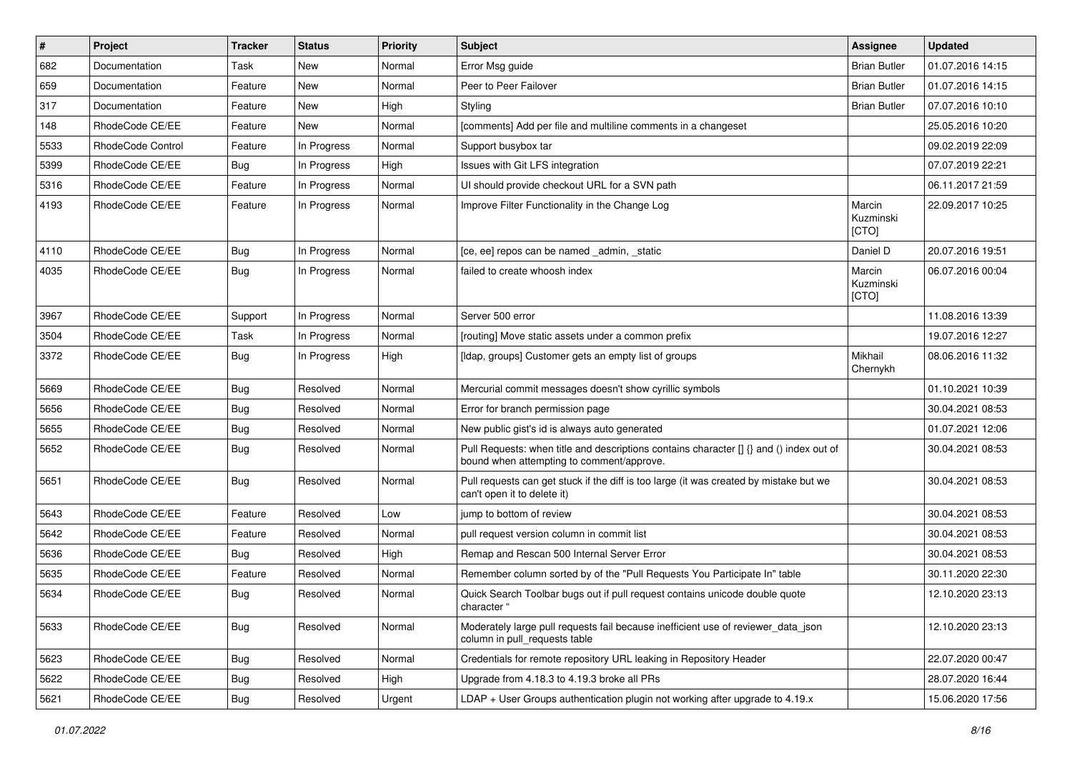| $\pmb{\#}$ | Project                  | <b>Tracker</b> | <b>Status</b> | <b>Priority</b> | Subject                                                                                                                              | <b>Assignee</b>              | <b>Updated</b>   |
|------------|--------------------------|----------------|---------------|-----------------|--------------------------------------------------------------------------------------------------------------------------------------|------------------------------|------------------|
| 682        | Documentation            | Task           | New           | Normal          | Error Msg guide                                                                                                                      | <b>Brian Butler</b>          | 01.07.2016 14:15 |
| 659        | Documentation            | Feature        | <b>New</b>    | Normal          | Peer to Peer Failover                                                                                                                | <b>Brian Butler</b>          | 01.07.2016 14:15 |
| 317        | Documentation            | Feature        | New           | High            | Styling                                                                                                                              | <b>Brian Butler</b>          | 07.07.2016 10:10 |
| 148        | RhodeCode CE/EE          | Feature        | New           | Normal          | [comments] Add per file and multiline comments in a changeset                                                                        |                              | 25.05.2016 10:20 |
| 5533       | <b>RhodeCode Control</b> | Feature        | In Progress   | Normal          | Support busybox tar                                                                                                                  |                              | 09.02.2019 22:09 |
| 5399       | RhodeCode CE/EE          | Bug            | In Progress   | High            | Issues with Git LFS integration                                                                                                      |                              | 07.07.2019 22:21 |
| 5316       | RhodeCode CE/EE          | Feature        | In Progress   | Normal          | UI should provide checkout URL for a SVN path                                                                                        |                              | 06.11.2017 21:59 |
| 4193       | RhodeCode CE/EE          | Feature        | In Progress   | Normal          | Improve Filter Functionality in the Change Log                                                                                       | Marcin<br>Kuzminski<br>[CTO] | 22.09.2017 10:25 |
| 4110       | RhodeCode CE/EE          | Bug            | In Progress   | Normal          | [ce, ee] repos can be named _admin, _static                                                                                          | Daniel D                     | 20.07.2016 19:51 |
| 4035       | RhodeCode CE/EE          | Bug            | In Progress   | Normal          | failed to create whoosh index                                                                                                        | Marcin<br>Kuzminski<br>[CTO] | 06.07.2016 00:04 |
| 3967       | RhodeCode CE/EE          | Support        | In Progress   | Normal          | Server 500 error                                                                                                                     |                              | 11.08.2016 13:39 |
| 3504       | RhodeCode CE/EE          | Task           | In Progress   | Normal          | [routing] Move static assets under a common prefix                                                                                   |                              | 19.07.2016 12:27 |
| 3372       | RhodeCode CE/EE          | Bug            | In Progress   | High            | [Idap, groups] Customer gets an empty list of groups                                                                                 | Mikhail<br>Chernykh          | 08.06.2016 11:32 |
| 5669       | RhodeCode CE/EE          | Bug            | Resolved      | Normal          | Mercurial commit messages doesn't show cyrillic symbols                                                                              |                              | 01.10.2021 10:39 |
| 5656       | RhodeCode CE/EE          | Bug            | Resolved      | Normal          | Error for branch permission page                                                                                                     |                              | 30.04.2021 08:53 |
| 5655       | RhodeCode CE/EE          | Bug            | Resolved      | Normal          | New public gist's id is always auto generated                                                                                        |                              | 01.07.2021 12:06 |
| 5652       | RhodeCode CE/EE          | Bug            | Resolved      | Normal          | Pull Requests: when title and descriptions contains character [] {} and () index out of<br>bound when attempting to comment/approve. |                              | 30.04.2021 08:53 |
| 5651       | RhodeCode CE/EE          | Bug            | Resolved      | Normal          | Pull requests can get stuck if the diff is too large (it was created by mistake but we<br>can't open it to delete it)                |                              | 30.04.2021 08:53 |
| 5643       | RhodeCode CE/EE          | Feature        | Resolved      | Low             | jump to bottom of review                                                                                                             |                              | 30.04.2021 08:53 |
| 5642       | RhodeCode CE/EE          | Feature        | Resolved      | Normal          | pull request version column in commit list                                                                                           |                              | 30.04.2021 08:53 |
| 5636       | RhodeCode CE/EE          | Bug            | Resolved      | High            | Remap and Rescan 500 Internal Server Error                                                                                           |                              | 30.04.2021 08:53 |
| 5635       | RhodeCode CE/EE          | Feature        | Resolved      | Normal          | Remember column sorted by of the "Pull Requests You Participate In" table                                                            |                              | 30.11.2020 22:30 |
| 5634       | RhodeCode CE/EE          | Bug            | Resolved      | Normal          | Quick Search Toolbar bugs out if pull request contains unicode double quote<br>character "                                           |                              | 12.10.2020 23:13 |
| 5633       | RhodeCode CE/EE          | <b>Bug</b>     | Resolved      | Normal          | Moderately large pull requests fail because inefficient use of reviewer_data_json<br>column in pull_requests table                   |                              | 12.10.2020 23:13 |
| 5623       | RhodeCode CE/EE          | Bug            | Resolved      | Normal          | Credentials for remote repository URL leaking in Repository Header                                                                   |                              | 22.07.2020 00:47 |
| 5622       | RhodeCode CE/EE          | <b>Bug</b>     | Resolved      | High            | Upgrade from 4.18.3 to 4.19.3 broke all PRs                                                                                          |                              | 28.07.2020 16:44 |
| 5621       | RhodeCode CE/EE          | Bug            | Resolved      | Urgent          | LDAP + User Groups authentication plugin not working after upgrade to 4.19.x                                                         |                              | 15.06.2020 17:56 |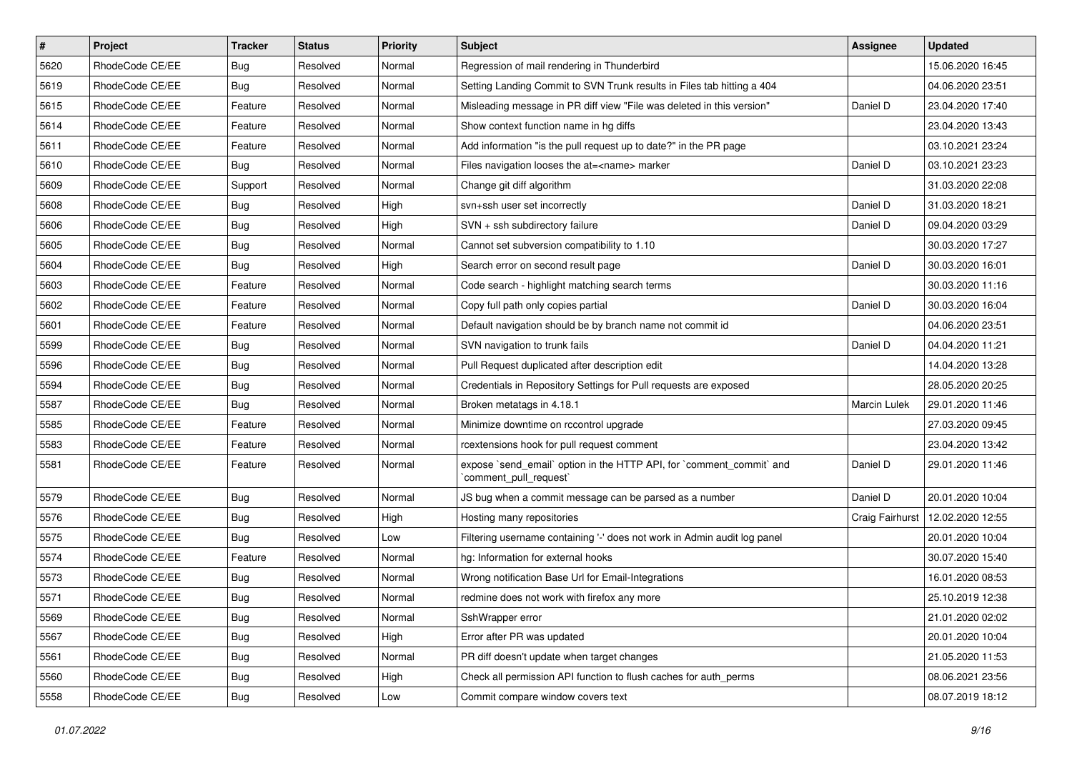| $\pmb{\#}$ | Project         | <b>Tracker</b> | <b>Status</b> | <b>Priority</b> | Subject                                                                                        | <b>Assignee</b> | <b>Updated</b>   |
|------------|-----------------|----------------|---------------|-----------------|------------------------------------------------------------------------------------------------|-----------------|------------------|
| 5620       | RhodeCode CE/EE | Bug            | Resolved      | Normal          | Regression of mail rendering in Thunderbird                                                    |                 | 15.06.2020 16:45 |
| 5619       | RhodeCode CE/EE | Bug            | Resolved      | Normal          | Setting Landing Commit to SVN Trunk results in Files tab hitting a 404                         |                 | 04.06.2020 23:51 |
| 5615       | RhodeCode CE/EE | Feature        | Resolved      | Normal          | Misleading message in PR diff view "File was deleted in this version"                          | Daniel D        | 23.04.2020 17:40 |
| 5614       | RhodeCode CE/EE | Feature        | Resolved      | Normal          | Show context function name in hg diffs                                                         |                 | 23.04.2020 13:43 |
| 5611       | RhodeCode CE/EE | Feature        | Resolved      | Normal          | Add information "is the pull request up to date?" in the PR page                               |                 | 03.10.2021 23:24 |
| 5610       | RhodeCode CE/EE | Bug            | Resolved      | Normal          | Files navigation looses the at= <name> marker</name>                                           | Daniel D        | 03.10.2021 23:23 |
| 5609       | RhodeCode CE/EE | Support        | Resolved      | Normal          | Change git diff algorithm                                                                      |                 | 31.03.2020 22:08 |
| 5608       | RhodeCode CE/EE | Bug            | Resolved      | High            | svn+ssh user set incorrectly                                                                   | Daniel D        | 31.03.2020 18:21 |
| 5606       | RhodeCode CE/EE | Bug            | Resolved      | High            | SVN + ssh subdirectory failure                                                                 | Daniel D        | 09.04.2020 03:29 |
| 5605       | RhodeCode CE/EE | <b>Bug</b>     | Resolved      | Normal          | Cannot set subversion compatibility to 1.10                                                    |                 | 30.03.2020 17:27 |
| 5604       | RhodeCode CE/EE | Bug            | Resolved      | High            | Search error on second result page                                                             | Daniel D        | 30.03.2020 16:01 |
| 5603       | RhodeCode CE/EE | Feature        | Resolved      | Normal          | Code search - highlight matching search terms                                                  |                 | 30.03.2020 11:16 |
| 5602       | RhodeCode CE/EE | Feature        | Resolved      | Normal          | Copy full path only copies partial                                                             | Daniel D        | 30.03.2020 16:04 |
| 5601       | RhodeCode CE/EE | Feature        | Resolved      | Normal          | Default navigation should be by branch name not commit id                                      |                 | 04.06.2020 23:51 |
| 5599       | RhodeCode CE/EE | <b>Bug</b>     | Resolved      | Normal          | SVN navigation to trunk fails                                                                  | Daniel D        | 04.04.2020 11:21 |
| 5596       | RhodeCode CE/EE | Bug            | Resolved      | Normal          | Pull Request duplicated after description edit                                                 |                 | 14.04.2020 13:28 |
| 5594       | RhodeCode CE/EE | <b>Bug</b>     | Resolved      | Normal          | Credentials in Repository Settings for Pull requests are exposed                               |                 | 28.05.2020 20:25 |
| 5587       | RhodeCode CE/EE | Bug            | Resolved      | Normal          | Broken metatags in 4.18.1                                                                      | Marcin Lulek    | 29.01.2020 11:46 |
| 5585       | RhodeCode CE/EE | Feature        | Resolved      | Normal          | Minimize downtime on rccontrol upgrade                                                         |                 | 27.03.2020 09:45 |
| 5583       | RhodeCode CE/EE | Feature        | Resolved      | Normal          | rcextensions hook for pull request comment                                                     |                 | 23.04.2020 13:42 |
| 5581       | RhodeCode CE/EE | Feature        | Resolved      | Normal          | expose `send_email` option in the HTTP API, for `comment_commit` and<br>`comment_pull_request` | Daniel D        | 29.01.2020 11:46 |
| 5579       | RhodeCode CE/EE | Bug            | Resolved      | Normal          | JS bug when a commit message can be parsed as a number                                         | Daniel D        | 20.01.2020 10:04 |
| 5576       | RhodeCode CE/EE | Bug            | Resolved      | High            | Hosting many repositories                                                                      | Craig Fairhurst | 12.02.2020 12:55 |
| 5575       | RhodeCode CE/EE | <b>Bug</b>     | Resolved      | Low             | Filtering username containing '-' does not work in Admin audit log panel                       |                 | 20.01.2020 10:04 |
| 5574       | RhodeCode CE/EE | Feature        | Resolved      | Normal          | hg: Information for external hooks                                                             |                 | 30.07.2020 15:40 |
| 5573       | RhodeCode CE/EE | Bug            | Resolved      | Normal          | Wrong notification Base Url for Email-Integrations                                             |                 | 16.01.2020 08:53 |
| 5571       | RhodeCode CE/EE | <b>Bug</b>     | Resolved      | Normal          | redmine does not work with firefox any more                                                    |                 | 25.10.2019 12:38 |
| 5569       | RhodeCode CE/EE | <b>Bug</b>     | Resolved      | Normal          | SshWrapper error                                                                               |                 | 21.01.2020 02:02 |
| 5567       | RhodeCode CE/EE | Bug            | Resolved      | High            | Error after PR was updated                                                                     |                 | 20.01.2020 10:04 |
| 5561       | RhodeCode CE/EE | <b>Bug</b>     | Resolved      | Normal          | PR diff doesn't update when target changes                                                     |                 | 21.05.2020 11:53 |
| 5560       | RhodeCode CE/EE | <b>Bug</b>     | Resolved      | High            | Check all permission API function to flush caches for auth_perms                               |                 | 08.06.2021 23:56 |
| 5558       | RhodeCode CE/EE | Bug            | Resolved      | Low             | Commit compare window covers text                                                              |                 | 08.07.2019 18:12 |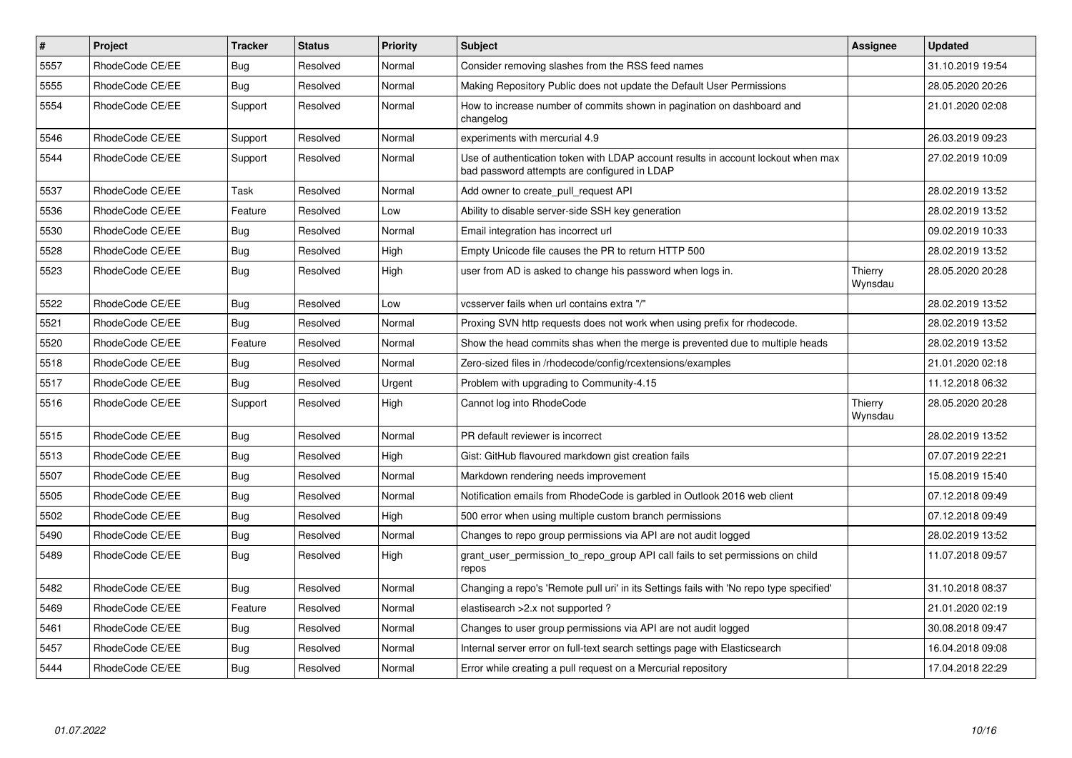| $\pmb{\#}$ | Project         | <b>Tracker</b> | <b>Status</b> | <b>Priority</b> | <b>Subject</b>                                                                                                                    | <b>Assignee</b>    | <b>Updated</b>   |
|------------|-----------------|----------------|---------------|-----------------|-----------------------------------------------------------------------------------------------------------------------------------|--------------------|------------------|
| 5557       | RhodeCode CE/EE | Bug            | Resolved      | Normal          | Consider removing slashes from the RSS feed names                                                                                 |                    | 31.10.2019 19:54 |
| 5555       | RhodeCode CE/EE | Bug            | Resolved      | Normal          | Making Repository Public does not update the Default User Permissions                                                             |                    | 28.05.2020 20:26 |
| 5554       | RhodeCode CE/EE | Support        | Resolved      | Normal          | How to increase number of commits shown in pagination on dashboard and<br>changelog                                               |                    | 21.01.2020 02:08 |
| 5546       | RhodeCode CE/EE | Support        | Resolved      | Normal          | experiments with mercurial 4.9                                                                                                    |                    | 26.03.2019 09:23 |
| 5544       | RhodeCode CE/EE | Support        | Resolved      | Normal          | Use of authentication token with LDAP account results in account lockout when max<br>bad password attempts are configured in LDAP |                    | 27.02.2019 10:09 |
| 5537       | RhodeCode CE/EE | Task           | Resolved      | Normal          | Add owner to create pull request API                                                                                              |                    | 28.02.2019 13:52 |
| 5536       | RhodeCode CE/EE | Feature        | Resolved      | Low             | Ability to disable server-side SSH key generation                                                                                 |                    | 28.02.2019 13:52 |
| 5530       | RhodeCode CE/EE | Bug            | Resolved      | Normal          | Email integration has incorrect url                                                                                               |                    | 09.02.2019 10:33 |
| 5528       | RhodeCode CE/EE | Bug            | Resolved      | High            | Empty Unicode file causes the PR to return HTTP 500                                                                               |                    | 28.02.2019 13:52 |
| 5523       | RhodeCode CE/EE | Bug            | Resolved      | High            | user from AD is asked to change his password when logs in.                                                                        | Thierry<br>Wynsdau | 28.05.2020 20:28 |
| 5522       | RhodeCode CE/EE | Bug            | Resolved      | Low             | vcsserver fails when url contains extra "/"                                                                                       |                    | 28.02.2019 13:52 |
| 5521       | RhodeCode CE/EE | Bug            | Resolved      | Normal          | Proxing SVN http requests does not work when using prefix for rhodecode.                                                          |                    | 28.02.2019 13:52 |
| 5520       | RhodeCode CE/EE | Feature        | Resolved      | Normal          | Show the head commits shas when the merge is prevented due to multiple heads                                                      |                    | 28.02.2019 13:52 |
| 5518       | RhodeCode CE/EE | Bug            | Resolved      | Normal          | Zero-sized files in /rhodecode/config/rcextensions/examples                                                                       |                    | 21.01.2020 02:18 |
| 5517       | RhodeCode CE/EE | Bug            | Resolved      | Urgent          | Problem with upgrading to Community-4.15                                                                                          |                    | 11.12.2018 06:32 |
| 5516       | RhodeCode CE/EE | Support        | Resolved      | High            | Cannot log into RhodeCode                                                                                                         | Thierry<br>Wynsdau | 28.05.2020 20:28 |
| 5515       | RhodeCode CE/EE | <b>Bug</b>     | Resolved      | Normal          | PR default reviewer is incorrect                                                                                                  |                    | 28.02.2019 13:52 |
| 5513       | RhodeCode CE/EE | Bug            | Resolved      | High            | Gist: GitHub flavoured markdown gist creation fails                                                                               |                    | 07.07.2019 22:21 |
| 5507       | RhodeCode CE/EE | Bug            | Resolved      | Normal          | Markdown rendering needs improvement                                                                                              |                    | 15.08.2019 15:40 |
| 5505       | RhodeCode CE/EE | Bug            | Resolved      | Normal          | Notification emails from RhodeCode is garbled in Outlook 2016 web client                                                          |                    | 07.12.2018 09:49 |
| 5502       | RhodeCode CE/EE | <b>Bug</b>     | Resolved      | High            | 500 error when using multiple custom branch permissions                                                                           |                    | 07.12.2018 09:49 |
| 5490       | RhodeCode CE/EE | Bug            | Resolved      | Normal          | Changes to repo group permissions via API are not audit logged                                                                    |                    | 28.02.2019 13:52 |
| 5489       | RhodeCode CE/EE | Bug            | Resolved      | High            | grant_user_permission_to_repo_group API call fails to set permissions on child<br>repos                                           |                    | 11.07.2018 09:57 |
| 5482       | RhodeCode CE/EE | Bug            | Resolved      | Normal          | Changing a repo's 'Remote pull uri' in its Settings fails with 'No repo type specified'                                           |                    | 31.10.2018 08:37 |
| 5469       | RhodeCode CE/EE | Feature        | Resolved      | Normal          | elastisearch > 2.x not supported?                                                                                                 |                    | 21.01.2020 02:19 |
| 5461       | RhodeCode CE/EE | Bug            | Resolved      | Normal          | Changes to user group permissions via API are not audit logged                                                                    |                    | 30.08.2018 09:47 |
| 5457       | RhodeCode CE/EE | Bug            | Resolved      | Normal          | Internal server error on full-text search settings page with Elasticsearch                                                        |                    | 16.04.2018 09:08 |
| 5444       | RhodeCode CE/EE | Bug            | Resolved      | Normal          | Error while creating a pull request on a Mercurial repository                                                                     |                    | 17.04.2018 22:29 |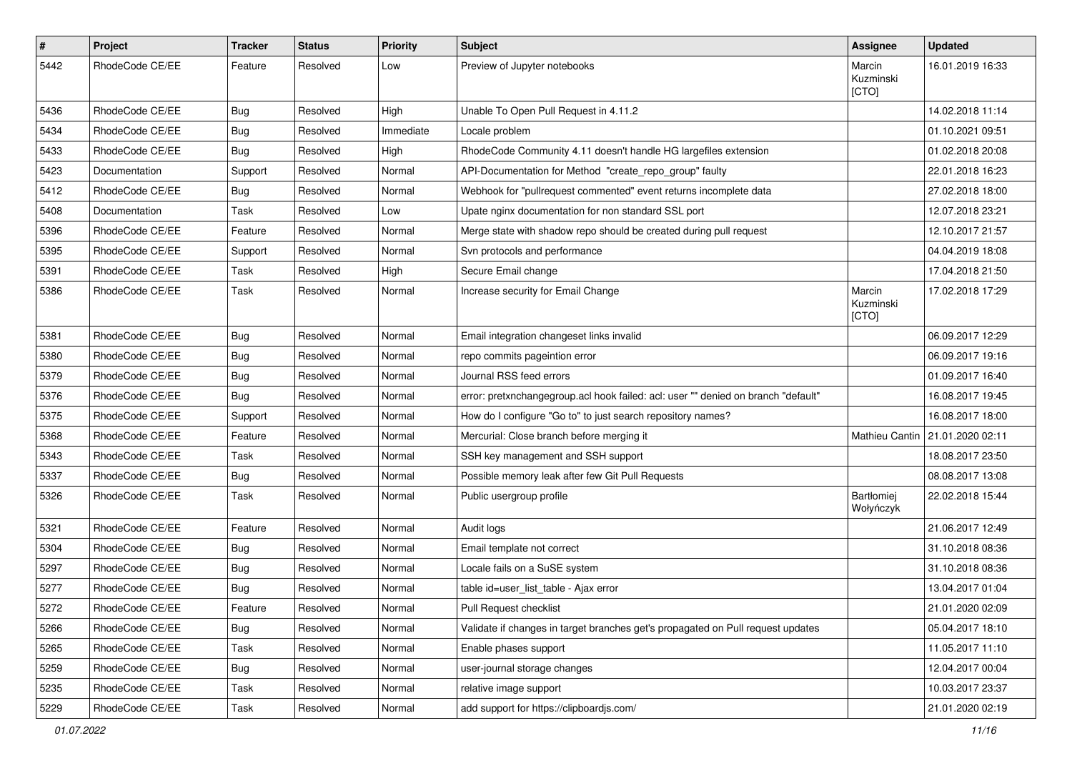| $\#$ | Project         | Tracker    | <b>Status</b> | <b>Priority</b> | <b>Subject</b>                                                                    | Assignee                     | <b>Updated</b>   |
|------|-----------------|------------|---------------|-----------------|-----------------------------------------------------------------------------------|------------------------------|------------------|
| 5442 | RhodeCode CE/EE | Feature    | Resolved      | Low             | Preview of Jupyter notebooks                                                      | Marcin<br>Kuzminski<br>[CTO] | 16.01.2019 16:33 |
| 5436 | RhodeCode CE/EE | Bug        | Resolved      | High            | Unable To Open Pull Request in 4.11.2                                             |                              | 14.02.2018 11:14 |
| 5434 | RhodeCode CE/EE | Bug        | Resolved      | Immediate       | Locale problem                                                                    |                              | 01.10.2021 09:51 |
| 5433 | RhodeCode CE/EE | <b>Bug</b> | Resolved      | High            | RhodeCode Community 4.11 doesn't handle HG largefiles extension                   |                              | 01.02.2018 20:08 |
| 5423 | Documentation   | Support    | Resolved      | Normal          | API-Documentation for Method "create_repo_group" faulty                           |                              | 22.01.2018 16:23 |
| 5412 | RhodeCode CE/EE | Bug        | Resolved      | Normal          | Webhook for "pullrequest commented" event returns incomplete data                 |                              | 27.02.2018 18:00 |
| 5408 | Documentation   | Task       | Resolved      | Low             | Upate nginx documentation for non standard SSL port                               |                              | 12.07.2018 23:21 |
| 5396 | RhodeCode CE/EE | Feature    | Resolved      | Normal          | Merge state with shadow repo should be created during pull request                |                              | 12.10.2017 21:57 |
| 5395 | RhodeCode CE/EE | Support    | Resolved      | Normal          | Svn protocols and performance                                                     |                              | 04.04.2019 18:08 |
| 5391 | RhodeCode CE/EE | Task       | Resolved      | High            | Secure Email change                                                               |                              | 17.04.2018 21:50 |
| 5386 | RhodeCode CE/EE | Task       | Resolved      | Normal          | Increase security for Email Change                                                | Marcin<br>Kuzminski<br>[CTO] | 17.02.2018 17:29 |
| 5381 | RhodeCode CE/EE | <b>Bug</b> | Resolved      | Normal          | Email integration changeset links invalid                                         |                              | 06.09.2017 12:29 |
| 5380 | RhodeCode CE/EE | <b>Bug</b> | Resolved      | Normal          | repo commits pageintion error                                                     |                              | 06.09.2017 19:16 |
| 5379 | RhodeCode CE/EE | <b>Bug</b> | Resolved      | Normal          | Journal RSS feed errors                                                           |                              | 01.09.2017 16:40 |
| 5376 | RhodeCode CE/EE | <b>Bug</b> | Resolved      | Normal          | error: pretxnchangegroup.acl hook failed: acl: user "" denied on branch "default" |                              | 16.08.2017 19:45 |
| 5375 | RhodeCode CE/EE | Support    | Resolved      | Normal          | How do I configure "Go to" to just search repository names?                       |                              | 16.08.2017 18:00 |
| 5368 | RhodeCode CE/EE | Feature    | Resolved      | Normal          | Mercurial: Close branch before merging it                                         | Mathieu Cantin               | 21.01.2020 02:11 |
| 5343 | RhodeCode CE/EE | Task       | Resolved      | Normal          | SSH key management and SSH support                                                |                              | 18.08.2017 23:50 |
| 5337 | RhodeCode CE/EE | Bug        | Resolved      | Normal          | Possible memory leak after few Git Pull Requests                                  |                              | 08.08.2017 13:08 |
| 5326 | RhodeCode CE/EE | Task       | Resolved      | Normal          | Public usergroup profile                                                          | Bartłomiej<br>Wołyńczyk      | 22.02.2018 15:44 |
| 5321 | RhodeCode CE/EE | Feature    | Resolved      | Normal          | Audit logs                                                                        |                              | 21.06.2017 12:49 |
| 5304 | RhodeCode CE/EE | <b>Bug</b> | Resolved      | Normal          | Email template not correct                                                        |                              | 31.10.2018 08:36 |
| 5297 | RhodeCode CE/EE | Bug        | Resolved      | Normal          | Locale fails on a SuSE system                                                     |                              | 31.10.2018 08:36 |
| 5277 | RhodeCode CE/EE | <b>Bug</b> | Resolved      | Normal          | table id=user_list_table - Ajax error                                             |                              | 13.04.2017 01:04 |
| 5272 | RhodeCode CE/EE | Feature    | Resolved      | Normal          | Pull Request checklist                                                            |                              | 21.01.2020 02:09 |
| 5266 | RhodeCode CE/EE | <b>Bug</b> | Resolved      | Normal          | Validate if changes in target branches get's propagated on Pull request updates   |                              | 05.04.2017 18:10 |
| 5265 | RhodeCode CE/EE | Task       | Resolved      | Normal          | Enable phases support                                                             |                              | 11.05.2017 11:10 |
| 5259 | RhodeCode CE/EE | Bug        | Resolved      | Normal          | user-journal storage changes                                                      |                              | 12.04.2017 00:04 |
| 5235 | RhodeCode CE/EE | Task       | Resolved      | Normal          | relative image support                                                            |                              | 10.03.2017 23:37 |
| 5229 | RhodeCode CE/EE | Task       | Resolved      | Normal          | add support for https://clipboardjs.com/                                          |                              | 21.01.2020 02:19 |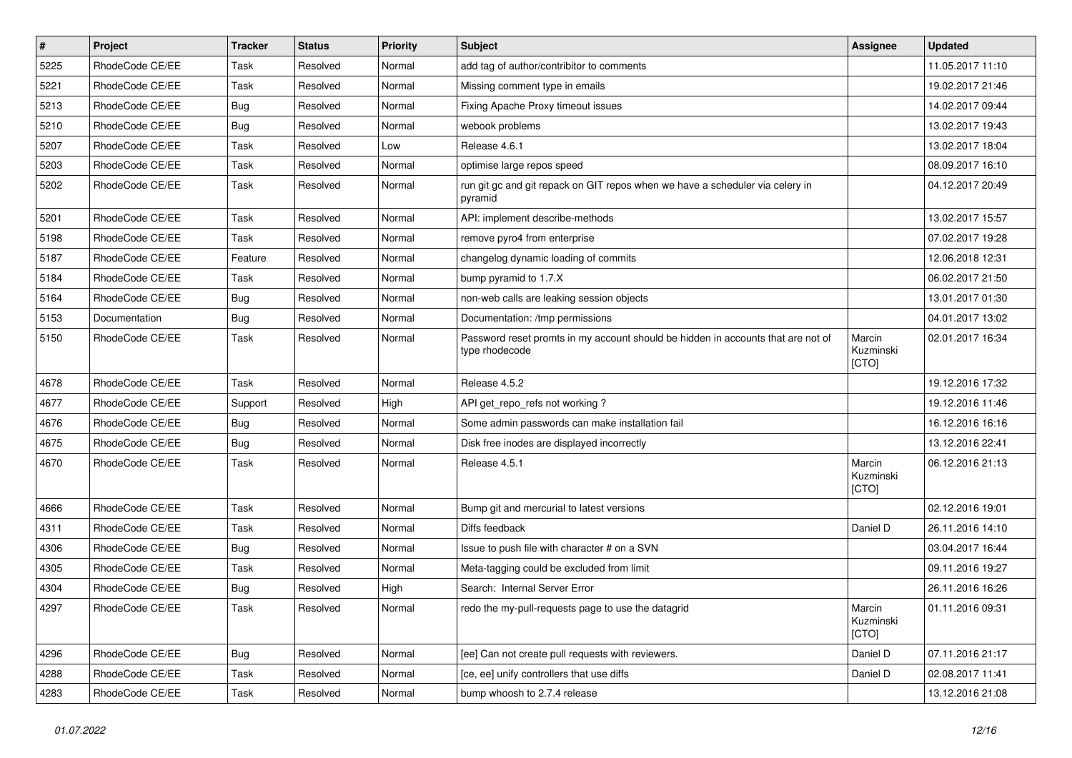| $\pmb{\#}$ | Project         | <b>Tracker</b> | <b>Status</b> | <b>Priority</b> | Subject                                                                                            | <b>Assignee</b>              | <b>Updated</b>   |
|------------|-----------------|----------------|---------------|-----------------|----------------------------------------------------------------------------------------------------|------------------------------|------------------|
| 5225       | RhodeCode CE/EE | Task           | Resolved      | Normal          | add tag of author/contribitor to comments                                                          |                              | 11.05.2017 11:10 |
| 5221       | RhodeCode CE/EE | Task           | Resolved      | Normal          | Missing comment type in emails                                                                     |                              | 19.02.2017 21:46 |
| 5213       | RhodeCode CE/EE | Bug            | Resolved      | Normal          | Fixing Apache Proxy timeout issues                                                                 |                              | 14.02.2017 09:44 |
| 5210       | RhodeCode CE/EE | Bug            | Resolved      | Normal          | webook problems                                                                                    |                              | 13.02.2017 19:43 |
| 5207       | RhodeCode CE/EE | <b>Task</b>    | Resolved      | Low             | Release 4.6.1                                                                                      |                              | 13.02.2017 18:04 |
| 5203       | RhodeCode CE/EE | Task           | Resolved      | Normal          | optimise large repos speed                                                                         |                              | 08.09.2017 16:10 |
| 5202       | RhodeCode CE/EE | Task           | Resolved      | Normal          | run git gc and git repack on GIT repos when we have a scheduler via celery in<br>pyramid           |                              | 04.12.2017 20:49 |
| 5201       | RhodeCode CE/EE | Task           | Resolved      | Normal          | API: implement describe-methods                                                                    |                              | 13.02.2017 15:57 |
| 5198       | RhodeCode CE/EE | Task           | Resolved      | Normal          | remove pyro4 from enterprise                                                                       |                              | 07.02.2017 19:28 |
| 5187       | RhodeCode CE/EE | Feature        | Resolved      | Normal          | changelog dynamic loading of commits                                                               |                              | 12.06.2018 12:31 |
| 5184       | RhodeCode CE/EE | Task           | Resolved      | Normal          | bump pyramid to 1.7.X                                                                              |                              | 06.02.2017 21:50 |
| 5164       | RhodeCode CE/EE | Bug            | Resolved      | Normal          | non-web calls are leaking session objects                                                          |                              | 13.01.2017 01:30 |
| 5153       | Documentation   | Bug            | Resolved      | Normal          | Documentation: /tmp permissions                                                                    |                              | 04.01.2017 13:02 |
| 5150       | RhodeCode CE/EE | Task           | Resolved      | Normal          | Password reset promts in my account should be hidden in accounts that are not of<br>type rhodecode | Marcin<br>Kuzminski<br>[CTO] | 02.01.2017 16:34 |
| 4678       | RhodeCode CE/EE | Task           | Resolved      | Normal          | Release 4.5.2                                                                                      |                              | 19.12.2016 17:32 |
| 4677       | RhodeCode CE/EE | Support        | Resolved      | High            | API get repo refs not working?                                                                     |                              | 19.12.2016 11:46 |
| 4676       | RhodeCode CE/EE | Bug            | Resolved      | Normal          | Some admin passwords can make installation fail                                                    |                              | 16.12.2016 16:16 |
| 4675       | RhodeCode CE/EE | Bug            | Resolved      | Normal          | Disk free inodes are displayed incorrectly                                                         |                              | 13.12.2016 22:41 |
| 4670       | RhodeCode CE/EE | Task           | Resolved      | Normal          | Release 4.5.1                                                                                      | Marcin<br>Kuzminski<br>[CTO] | 06.12.2016 21:13 |
| 4666       | RhodeCode CE/EE | Task           | Resolved      | Normal          | Bump git and mercurial to latest versions                                                          |                              | 02.12.2016 19:01 |
| 4311       | RhodeCode CE/EE | <b>Task</b>    | Resolved      | Normal          | Diffs feedback                                                                                     | Daniel D                     | 26.11.2016 14:10 |
| 4306       | RhodeCode CE/EE | Bug            | Resolved      | Normal          | Issue to push file with character # on a SVN                                                       |                              | 03.04.2017 16:44 |
| 4305       | RhodeCode CE/EE | Task           | Resolved      | Normal          | Meta-tagging could be excluded from limit                                                          |                              | 09.11.2016 19:27 |
| 4304       | RhodeCode CE/EE | Bug            | Resolved      | High            | Search: Internal Server Error                                                                      |                              | 26.11.2016 16:26 |
| 4297       | RhodeCode CE/EE | Task           | Resolved      | Normal          | redo the my-pull-requests page to use the datagrid                                                 | Marcin<br>Kuzminski<br>[CTO] | 01.11.2016 09:31 |
| 4296       | RhodeCode CE/EE | <b>Bug</b>     | Resolved      | Normal          | [ee] Can not create pull requests with reviewers.                                                  | Daniel D                     | 07.11.2016 21:17 |
| 4288       | RhodeCode CE/EE | Task           | Resolved      | Normal          | [ce, ee] unify controllers that use diffs                                                          | Daniel D                     | 02.08.2017 11:41 |
| 4283       | RhodeCode CE/EE | Task           | Resolved      | Normal          | bump whoosh to 2.7.4 release                                                                       |                              | 13.12.2016 21:08 |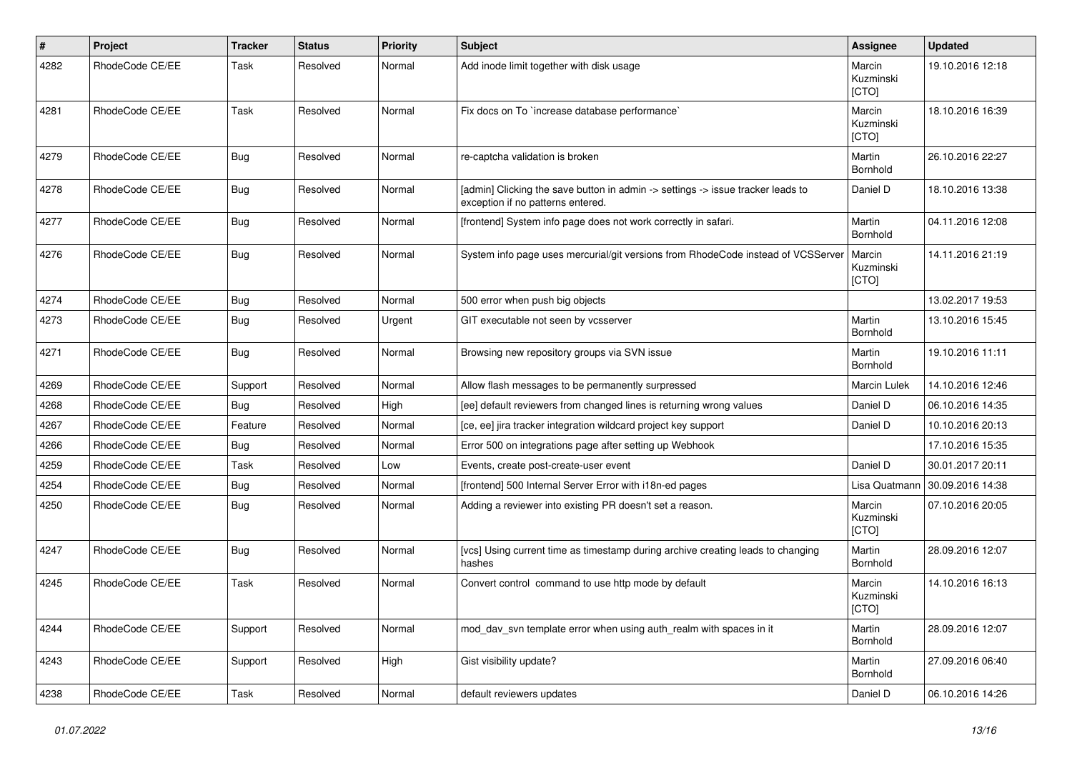| $\vert$ # | Project         | <b>Tracker</b> | <b>Status</b> | <b>Priority</b> | <b>Subject</b>                                                                                                       | Assignee                     | <b>Updated</b>   |
|-----------|-----------------|----------------|---------------|-----------------|----------------------------------------------------------------------------------------------------------------------|------------------------------|------------------|
| 4282      | RhodeCode CE/EE | Task           | Resolved      | Normal          | Add inode limit together with disk usage                                                                             | Marcin<br>Kuzminski<br>[CTO] | 19.10.2016 12:18 |
| 4281      | RhodeCode CE/EE | Task           | Resolved      | Normal          | Fix docs on To `increase database performance`                                                                       | Marcin<br>Kuzminski<br>[CTO] | 18.10.2016 16:39 |
| 4279      | RhodeCode CE/EE | Bug            | Resolved      | Normal          | re-captcha validation is broken                                                                                      | Martin<br>Bornhold           | 26.10.2016 22:27 |
| 4278      | RhodeCode CE/EE | Bug            | Resolved      | Normal          | [admin] Clicking the save button in admin -> settings -> issue tracker leads to<br>exception if no patterns entered. | Daniel D                     | 18.10.2016 13:38 |
| 4277      | RhodeCode CE/EE | Bug            | Resolved      | Normal          | [frontend] System info page does not work correctly in safari.                                                       | Martin<br>Bornhold           | 04.11.2016 12:08 |
| 4276      | RhodeCode CE/EE | Bug            | Resolved      | Normal          | System info page uses mercurial/git versions from RhodeCode instead of VCSServer                                     | Marcin<br>Kuzminski<br>[CTO] | 14.11.2016 21:19 |
| 4274      | RhodeCode CE/EE | Bug            | Resolved      | Normal          | 500 error when push big objects                                                                                      |                              | 13.02.2017 19:53 |
| 4273      | RhodeCode CE/EE | Bug            | Resolved      | Urgent          | GIT executable not seen by vcsserver                                                                                 | Martin<br>Bornhold           | 13.10.2016 15:45 |
| 4271      | RhodeCode CE/EE | <b>Bug</b>     | Resolved      | Normal          | Browsing new repository groups via SVN issue                                                                         | Martin<br>Bornhold           | 19.10.2016 11:11 |
| 4269      | RhodeCode CE/EE | Support        | Resolved      | Normal          | Allow flash messages to be permanently surpressed                                                                    | <b>Marcin Lulek</b>          | 14.10.2016 12:46 |
| 4268      | RhodeCode CE/EE | Bug            | Resolved      | High            | [ee] default reviewers from changed lines is returning wrong values                                                  | Daniel D                     | 06.10.2016 14:35 |
| 4267      | RhodeCode CE/EE | Feature        | Resolved      | Normal          | [ce, ee] jira tracker integration wildcard project key support                                                       | Daniel D                     | 10.10.2016 20:13 |
| 4266      | RhodeCode CE/EE | Bug            | Resolved      | Normal          | Error 500 on integrations page after setting up Webhook                                                              |                              | 17.10.2016 15:35 |
| 4259      | RhodeCode CE/EE | Task           | Resolved      | Low             | Events, create post-create-user event                                                                                | Daniel D                     | 30.01.2017 20:11 |
| 4254      | RhodeCode CE/EE | Bug            | Resolved      | Normal          | [frontend] 500 Internal Server Error with i18n-ed pages                                                              | Lisa Quatmann                | 30.09.2016 14:38 |
| 4250      | RhodeCode CE/EE | Bug            | Resolved      | Normal          | Adding a reviewer into existing PR doesn't set a reason.                                                             | Marcin<br>Kuzminski<br>[CTO] | 07.10.2016 20:05 |
| 4247      | RhodeCode CE/EE | Bug            | Resolved      | Normal          | [vcs] Using current time as timestamp during archive creating leads to changing<br>hashes                            | Martin<br>Bornhold           | 28.09.2016 12:07 |
| 4245      | RhodeCode CE/EE | <b>Task</b>    | Resolved      | Normal          | Convert control command to use http mode by default                                                                  | Marcin<br>Kuzminski<br>[CTO] | 14.10.2016 16:13 |
| 4244      | RhodeCode CE/EE | Support        | Resolved      | Normal          | mod_dav_svn template error when using auth_realm with spaces in it                                                   | Martin<br>Bornhold           | 28.09.2016 12:07 |
| 4243      | RhodeCode CE/EE | Support        | Resolved      | High            | Gist visibility update?                                                                                              | Martin<br>Bornhold           | 27.09.2016 06:40 |
| 4238      | RhodeCode CE/EE | Task           | Resolved      | Normal          | default reviewers updates                                                                                            | Daniel D                     | 06.10.2016 14:26 |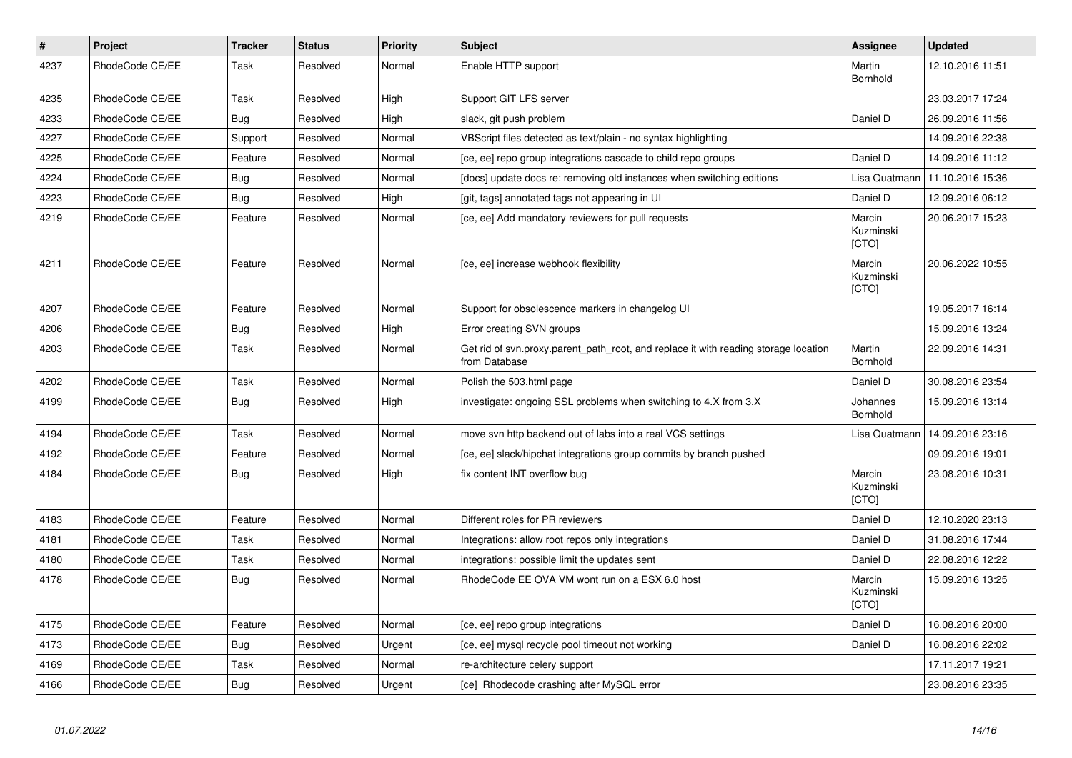| $\vert$ # | Project         | <b>Tracker</b> | <b>Status</b> | <b>Priority</b> | <b>Subject</b>                                                                                       | Assignee                     | <b>Updated</b>   |
|-----------|-----------------|----------------|---------------|-----------------|------------------------------------------------------------------------------------------------------|------------------------------|------------------|
| 4237      | RhodeCode CE/EE | Task           | Resolved      | Normal          | Enable HTTP support                                                                                  | Martin<br>Bornhold           | 12.10.2016 11:51 |
| 4235      | RhodeCode CE/EE | Task           | Resolved      | High            | Support GIT LFS server                                                                               |                              | 23.03.2017 17:24 |
| 4233      | RhodeCode CE/EE | Bug            | Resolved      | High            | slack, git push problem                                                                              | Daniel D                     | 26.09.2016 11:56 |
| 4227      | RhodeCode CE/EE | Support        | Resolved      | Normal          | VBScript files detected as text/plain - no syntax highlighting                                       |                              | 14.09.2016 22:38 |
| 4225      | RhodeCode CE/EE | Feature        | Resolved      | Normal          | [ce, ee] repo group integrations cascade to child repo groups                                        | Daniel D                     | 14.09.2016 11:12 |
| 4224      | RhodeCode CE/EE | Bug            | Resolved      | Normal          | [docs] update docs re: removing old instances when switching editions                                | Lisa Quatmann                | 11.10.2016 15:36 |
| 4223      | RhodeCode CE/EE | Bug            | Resolved      | High            | [git, tags] annotated tags not appearing in UI                                                       | Daniel D                     | 12.09.2016 06:12 |
| 4219      | RhodeCode CE/EE | Feature        | Resolved      | Normal          | [ce, ee] Add mandatory reviewers for pull requests                                                   | Marcin<br>Kuzminski<br>[CTO] | 20.06.2017 15:23 |
| 4211      | RhodeCode CE/EE | Feature        | Resolved      | Normal          | [ce, ee] increase webhook flexibility                                                                | Marcin<br>Kuzminski<br>[CTO] | 20.06.2022 10:55 |
| 4207      | RhodeCode CE/EE | Feature        | Resolved      | Normal          | Support for obsolescence markers in changelog UI                                                     |                              | 19.05.2017 16:14 |
| 4206      | RhodeCode CE/EE | Bug            | Resolved      | High            | Error creating SVN groups                                                                            |                              | 15.09.2016 13:24 |
| 4203      | RhodeCode CE/EE | Task           | Resolved      | Normal          | Get rid of svn.proxy.parent_path_root, and replace it with reading storage location<br>from Database | Martin<br>Bornhold           | 22.09.2016 14:31 |
| 4202      | RhodeCode CE/EE | Task           | Resolved      | Normal          | Polish the 503.html page                                                                             | Daniel D                     | 30.08.2016 23:54 |
| 4199      | RhodeCode CE/EE | Bug            | Resolved      | High            | investigate: ongoing SSL problems when switching to 4.X from 3.X                                     | Johannes<br>Bornhold         | 15.09.2016 13:14 |
| 4194      | RhodeCode CE/EE | Task           | Resolved      | Normal          | move svn http backend out of labs into a real VCS settings                                           | Lisa Quatmann                | 14.09.2016 23:16 |
| 4192      | RhodeCode CE/EE | Feature        | Resolved      | Normal          | [ce, ee] slack/hipchat integrations group commits by branch pushed                                   |                              | 09.09.2016 19:01 |
| 4184      | RhodeCode CE/EE | <b>Bug</b>     | Resolved      | High            | fix content INT overflow bug                                                                         | Marcin<br>Kuzminski<br>[CTO] | 23.08.2016 10:31 |
| 4183      | RhodeCode CE/EE | Feature        | Resolved      | Normal          | Different roles for PR reviewers                                                                     | Daniel D                     | 12.10.2020 23:13 |
| 4181      | RhodeCode CE/EE | Task           | Resolved      | Normal          | Integrations: allow root repos only integrations                                                     | Daniel D                     | 31.08.2016 17:44 |
| 4180      | RhodeCode CE/EE | Task           | Resolved      | Normal          | integrations: possible limit the updates sent                                                        | Daniel D                     | 22.08.2016 12:22 |
| 4178      | RhodeCode CE/EE | Bug            | Resolved      | Normal          | RhodeCode EE OVA VM wont run on a ESX 6.0 host                                                       | Marcin<br>Kuzminski<br>[CTO] | 15.09.2016 13:25 |
| 4175      | RhodeCode CE/EE | Feature        | Resolved      | Normal          | [ce, ee] repo group integrations                                                                     | Daniel D                     | 16.08.2016 20:00 |
| 4173      | RhodeCode CE/EE | Bug            | Resolved      | Urgent          | [ce, ee] mysql recycle pool timeout not working                                                      | Daniel D                     | 16.08.2016 22:02 |
| 4169      | RhodeCode CE/EE | Task           | Resolved      | Normal          | re-architecture celery support                                                                       |                              | 17.11.2017 19:21 |
| 4166      | RhodeCode CE/EE | Bug            | Resolved      | Urgent          | [ce] Rhodecode crashing after MySQL error                                                            |                              | 23.08.2016 23:35 |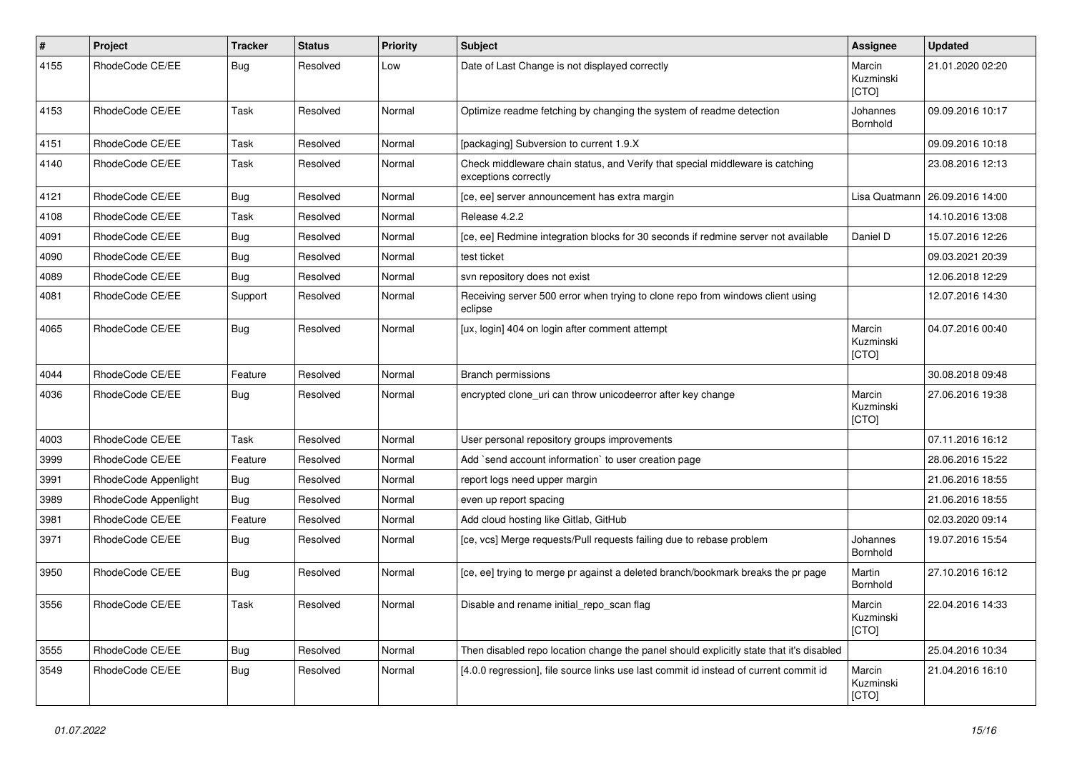| $\pmb{\#}$ | Project              | <b>Tracker</b> | <b>Status</b> | <b>Priority</b> | <b>Subject</b>                                                                                        | <b>Assignee</b>              | <b>Updated</b>   |
|------------|----------------------|----------------|---------------|-----------------|-------------------------------------------------------------------------------------------------------|------------------------------|------------------|
| 4155       | RhodeCode CE/EE      | <b>Bug</b>     | Resolved      | Low             | Date of Last Change is not displayed correctly                                                        | Marcin<br>Kuzminski<br>[CTO] | 21.01.2020 02:20 |
| 4153       | RhodeCode CE/EE      | Task           | Resolved      | Normal          | Optimize readme fetching by changing the system of readme detection                                   | Johannes<br>Bornhold         | 09.09.2016 10:17 |
| 4151       | RhodeCode CE/EE      | Task           | Resolved      | Normal          | [packaging] Subversion to current 1.9.X                                                               |                              | 09.09.2016 10:18 |
| 4140       | RhodeCode CE/EE      | Task           | Resolved      | Normal          | Check middleware chain status, and Verify that special middleware is catching<br>exceptions correctly |                              | 23.08.2016 12:13 |
| 4121       | RhodeCode CE/EE      | Bug            | Resolved      | Normal          | [ce, ee] server announcement has extra margin                                                         | Lisa Quatmann                | 26.09.2016 14:00 |
| 4108       | RhodeCode CE/EE      | <b>Task</b>    | Resolved      | Normal          | Release 4.2.2                                                                                         |                              | 14.10.2016 13:08 |
| 4091       | RhodeCode CE/EE      | Bug            | Resolved      | Normal          | [ce, ee] Redmine integration blocks for 30 seconds if redmine server not available                    | Daniel D                     | 15.07.2016 12:26 |
| 4090       | RhodeCode CE/EE      | Bug            | Resolved      | Normal          | test ticket                                                                                           |                              | 09.03.2021 20:39 |
| 4089       | RhodeCode CE/EE      | Bug            | Resolved      | Normal          | svn repository does not exist                                                                         |                              | 12.06.2018 12:29 |
| 4081       | RhodeCode CE/EE      | Support        | Resolved      | Normal          | Receiving server 500 error when trying to clone repo from windows client using<br>eclipse             |                              | 12.07.2016 14:30 |
| 4065       | RhodeCode CE/EE      | Bug            | Resolved      | Normal          | [ux, login] 404 on login after comment attempt                                                        | Marcin<br>Kuzminski<br>[CTO] | 04.07.2016 00:40 |
| 4044       | RhodeCode CE/EE      | Feature        | Resolved      | Normal          | Branch permissions                                                                                    |                              | 30.08.2018 09:48 |
| 4036       | RhodeCode CE/EE      | Bug            | Resolved      | Normal          | encrypted clone_uri can throw unicodeerror after key change                                           | Marcin<br>Kuzminski<br>[CTO] | 27.06.2016 19:38 |
| 4003       | RhodeCode CE/EE      | Task           | Resolved      | Normal          | User personal repository groups improvements                                                          |                              | 07.11.2016 16:12 |
| 3999       | RhodeCode CE/EE      | Feature        | Resolved      | Normal          | Add `send account information` to user creation page                                                  |                              | 28.06.2016 15:22 |
| 3991       | RhodeCode Appenlight | Bug            | Resolved      | Normal          | report logs need upper margin                                                                         |                              | 21.06.2016 18:55 |
| 3989       | RhodeCode Appenlight | <b>Bug</b>     | Resolved      | Normal          | even up report spacing                                                                                |                              | 21.06.2016 18:55 |
| 3981       | RhodeCode CE/EE      | Feature        | Resolved      | Normal          | Add cloud hosting like Gitlab, GitHub                                                                 |                              | 02.03.2020 09:14 |
| 3971       | RhodeCode CE/EE      | Bug            | Resolved      | Normal          | [ce, vcs] Merge requests/Pull requests failing due to rebase problem                                  | Johannes<br>Bornhold         | 19.07.2016 15:54 |
| 3950       | RhodeCode CE/EE      | Bug            | Resolved      | Normal          | [ce, ee] trying to merge pr against a deleted branch/bookmark breaks the pr page                      | Martin<br>Bornhold           | 27.10.2016 16:12 |
| 3556       | RhodeCode CE/EE      | Task           | Resolved      | Normal          | Disable and rename initial_repo_scan flag                                                             | Marcin<br>Kuzminski<br>[CTO] | 22.04.2016 14:33 |
| 3555       | RhodeCode CE/EE      | <b>Bug</b>     | Resolved      | Normal          | Then disabled repo location change the panel should explicitly state that it's disabled               |                              | 25.04.2016 10:34 |
| 3549       | RhodeCode CE/EE      | Bug            | Resolved      | Normal          | [4.0.0 regression], file source links use last commit id instead of current commit id                 | Marcin<br>Kuzminski<br>[CTO] | 21.04.2016 16:10 |